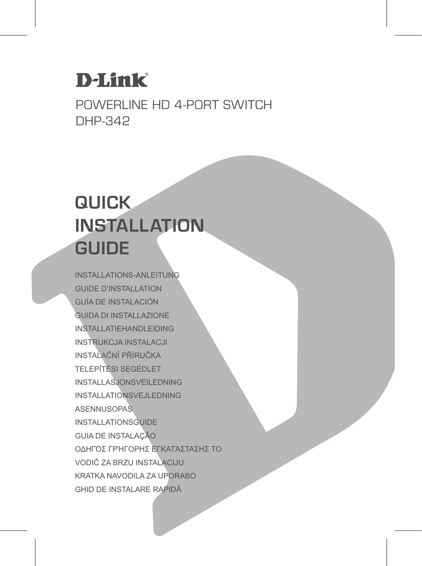### **D-Link**

Powerline HD 4-Port Switch DHP-342

### **QUICK INSTALLATION GUIDE**

INSTALLATIONS-ANLEITUNG GUIDE D'INSTALLATION GUÍA DE INSTALACIÓN GUIDA DI INSTALLAZIONE INSTALLATIEHANDLEIDING INSTRUKCJA INSTALACJI INSTALAČNÍ PŘÍRUČKA TELEPÍTÉSI SEGÉDLET INSTALLASJONSVEILEDNING INSTALLATIONSVEJLEDNING ASENNUSOPAS INSTALLATIONSGUIDE GUIA DE INSTALAÇÃO ΟΔΗΓΌΣ ΓΡΉΓΟΡΗΣ ΕΓΚΑΤΆΣΤΑΣΗΣ ΤΟ VODIČ ZA BRZU INSTALACIJU KRATKA NAVODILA ZA UPORABO GHID DE INSTALARE RAPIDĂ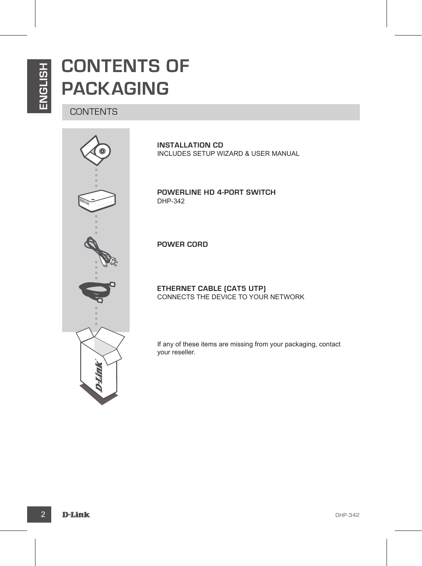### **CONTENTS OF PACKAGING**

#### **CONTENTS**



**INSTALLATION CD**  INCLUDES SETUP WIZARD & USER MANUAL

**Powerline HD 4-Port Switch** DHP-342

**POWER CORD**

**ETHERNET CABLE (CAT5 UTP)** CONNECTS THE DEVICE TO YOUR NETWORK

If any of these items are missing from your packaging, contact your reseller.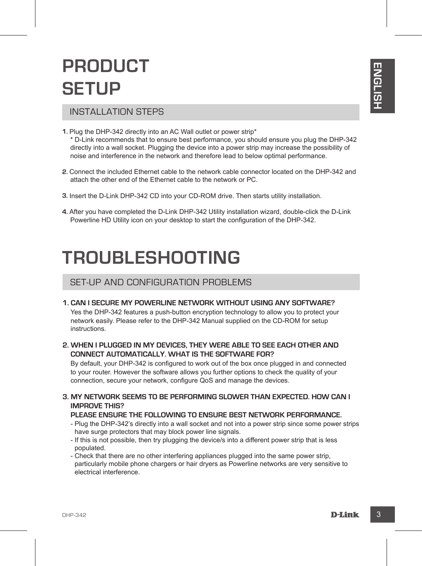### **PRODUCT SETUP**

#### INSTALLATION STEPS

- **PHODUCE I**<br>
SETUP <br>
INSTALLATION STEPS<br>
IS a matrix direct with on an AC Wall culte or power step<br>
<sup>2</sup> build we commends that to ensure best performance, you should ensure you plug the DHP-342<br>
<sup>2</sup> build we occurred that **1.** Plug the DHP-342 directly into an AC Wall outlet or power strip\* \* D-Link recommends that to ensure best performance, you should ensure you plug the DHP-342 directly into a wall socket. Plugging the device into a power strip may increase the possibility of noise and interference in the network and therefore lead to below optimal performance.
- **2.** Connect the included Ethernet cable to the network cable connector located on the DHP-342 and attach the other end of the Ethernet cable to the network or PC.
- **3.** Insert the D-Link DHP-342 CD into your CD-ROM drive. Then starts utility installation.
- **4.** After you have completed the D-Link DHP-342 Utility installation wizard, double-click the D-Link Powerline HD Utility icon on your desktop to start the configuration of the DHP-342.

### **TROUBLESHOOTING**

#### SET-UP AND CONFIGURATION PROBLEMS

#### **1. Can I secure my Powerline network without using any software?**

Yes the DHP-342 features a push-button encryption technology to allow you to protect your network easily. Please refer to the DHP-342 Manual supplied on the CD-ROM for setup instructions.

#### **2. When I plugged in my devices, they were able to see each other and connect automatically. What is the software for?**

By default, your DHP-342 is configured to work out of the box once plugged in and connected to your router. However the software allows you further options to check the quality of your connection, secure your network, configure QoS and manage the devices.

**3. My network seems to be performing slower than expected. How can I improve this?**

#### **Please ensure the following to ensure best network performance.**

- Plug the DHP-342's directly into a wall socket and not into a power strip since some power strips have surge protectors that may block power line signals.
- If this is not possible, then try plugging the device/s into a different power strip that is less populated.
- Check that there are no other interfering appliances plugged into the same power strip, particularly mobile phone chargers or hair dryers as Powerline networks are very sensitive to electrical interference.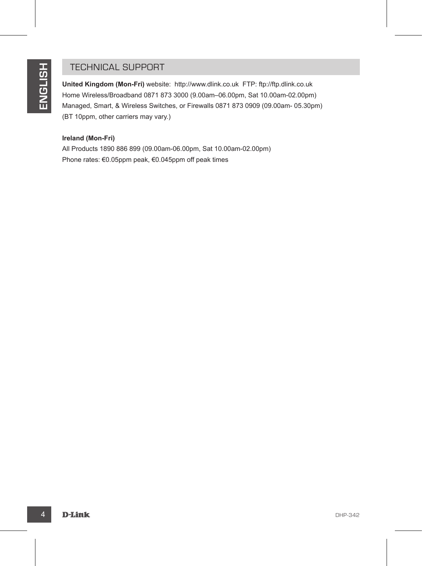#### TECHNICAL SUPPORT

TECHNICAL SUPPORT<br>
The Michael Kingdom (Mon-Fri) website: http://www.dlink.co.uk<br>
Home Winderstorband (057 is 73 3000 (8 03am-16.02pm, Sat 10.00am-22.02pm)<br>
The Manged, Smart & Winders Sellichtes, cor Friewalls 0571 873 00 **United Kingdom (Mon-Fri)** website: http://www.dlink.co.uk FTP: ftp://ftp.dlink.co.uk Home Wireless/Broadband 0871 873 3000 (9.00am–06.00pm, Sat 10.00am-02.00pm) Managed, Smart, & Wireless Switches, or Firewalls 0871 873 0909 (09.00am- 05.30pm) (BT 10ppm, other carriers may vary.)

#### **Ireland (Mon-Fri)**

All Products 1890 886 899 (09.00am-06.00pm, Sat 10.00am-02.00pm) Phone rates: €0.05ppm peak, €0.045ppm off peak times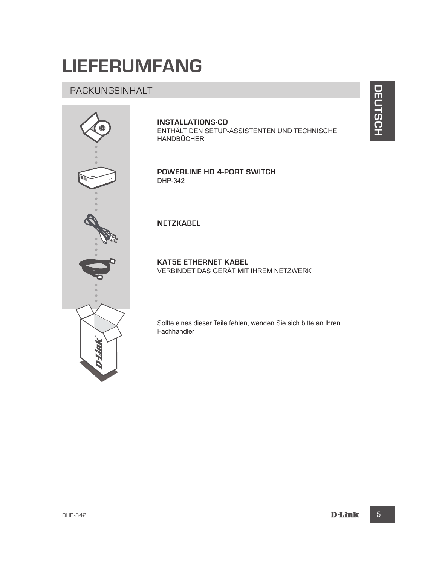### **LIEFERUMFANG**

#### PACKUNGSINHALT



#### **INSTALLATIONS-CD**

ENTHÄLT DEN SETUP-ASSISTENTEN UND TECHNISCHE HANDBÜCHER

**Powerline HD 4-Port Switch** DHP-342

#### **NETZKABEL**

**KAT5E ETHERNET KABEL**  VERBINDET DAS GERÄT MIT IHREM NETZWERK

Sollte eines dieser Teile fehlen, wenden Sie sich bitte an Ihren Fachhändler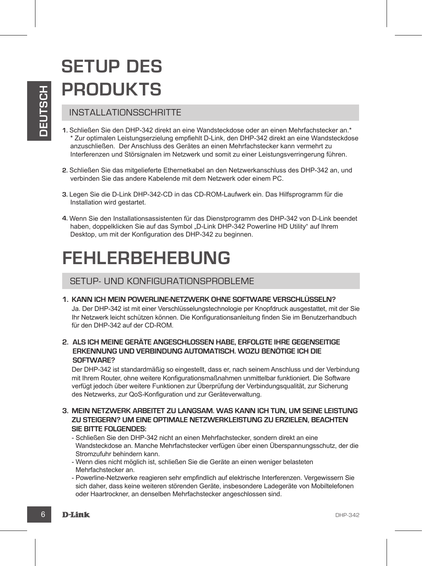# **SETUP DES PRODUKTS**

#### INSTALLATIONSSCHRITTE

- **EXAMPLE AND THE SET AND AND AN EXERCT AND AN EXERCT AND SERVE AND SCREEN AND SCREEN AND SCREEN AND SCREEN AND SCREEN AND SCREEN AND SCREEN AND SCREEN AND SCREEN AND SCREEN AND SCREEN AND SCREEN AND SCREEN AND SCREEN AND S 1.** Schließen Sie den DHP-342 direkt an eine Wandsteckdose oder an einen Mehrfachstecker an.\* \* Zur optimalen Leistungserzielung empfiehlt D-Link, den DHP-342 direkt an eine Wandsteckdose anzuschließen. Der Anschluss des Gerätes an einen Mehrfachstecker kann vermehrt zu Interferenzen und Störsignalen im Netzwerk und somit zu einer Leistungsverringerung führen.
	- **2.** Schließen Sie das mitgelieferte Ethernetkabel an den Netzwerkanschluss des DHP-342 an, und verbinden Sie das andere Kabelende mit dem Netzwerk oder einem PC.
	- **3.** Legen Sie die D-Link DHP-342-CD in das CD-ROM-Laufwerk ein. Das Hilfsprogramm für die Installation wird gestartet.
	- **4.** Wenn Sie den Installationsassistenten für das Dienstprogramm des DHP-342 von D-Link beendet haben, doppelklicken Sie auf das Symbol "D-Link DHP-342 Powerline HD Utility" auf Ihrem Desktop, um mit der Konfiguration des DHP-342 zu beginnen.

### **FEHLERBEHEBUNG**

#### SETUP- UND KONFIGURATIONSPROBLEME

**1. Kann ich mein Powerline-Netzwerk ohne Software verschlüsseln?** 

Ja. Der DHP-342 ist mit einer Verschlüsselungstechnologie per Knopfdruck ausgestattet, mit der Sie Ihr Netzwerk leicht schützen können. Die Konfigurationsanleitung finden Sie im Benutzerhandbuch für den DHP-342 auf der CD-ROM.

**2. Als ich meine Geräte angeschlossen habe, erfolgte ihre gegenseitige Erkennung und Verbindung automatisch. Wozu benötige ich die Software?**

Der DHP-342 ist standardmäßig so eingestellt, dass er, nach seinem Anschluss und der Verbindung mit Ihrem Router, ohne weitere Konfigurationsmaßnahmen unmittelbar funktioniert. Die Software verfügt jedoch über weitere Funktionen zur Überprüfung der Verbindungsqualität, zur Sicherung des Netzwerks, zur QoS-Konfiguration und zur Geräteverwaltung.

- **3. Mein Netzwerk arbeitet zu langsam. Was kann ich tun, um seine Leistung zu steigern? Um eine optimale Netzwerkleistung zu erzielen, beachten Sie bitte Folgendes:**
	- Schließen Sie den DHP-342 nicht an einen Mehrfachstecker, sondern direkt an eine Wandsteckdose an. Manche Mehrfachstecker verfügen über einen Überspannungsschutz, der die Stromzufuhr behindern kann.
	- Wenn dies nicht möglich ist, schließen Sie die Geräte an einen weniger belasteten Mehrfachstecker an.
	- Powerline-Netzwerke reagieren sehr empfindlich auf elektrische Interferenzen. Vergewissern Sie sich daher, dass keine weiteren störenden Geräte, insbesondere Ladegeräte von Mobiltelefonen oder Haartrockner, an denselben Mehrfachstecker angeschlossen sind.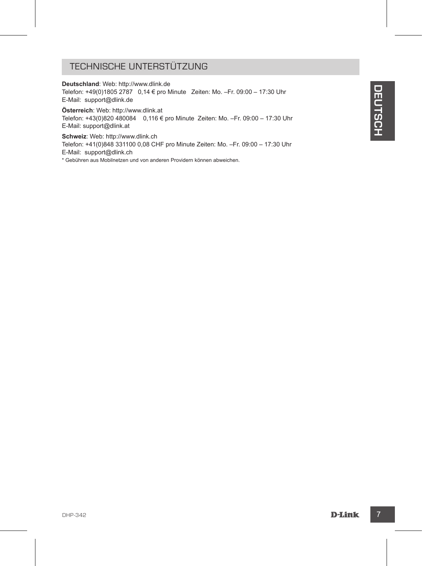#### TECHNISCHE UNTERSTÜTZUNG

**Deutschland**: Web: http://www.dlink.de Telefon: +49(0)1805 2787 0,14 € pro Minute Zeiten: Mo. –Fr. 09:00 – 17:30 Uhr E-Mail: support@dlink.de

**Österreich**: Web: http://www.dlink.at Telefon: +43(0)820 480084 0,116 € pro Minute Zeiten: Mo. –Fr. 09:00 – 17:30 Uhr E-Mail: support@dlink.at

Telecon + Heloyotes 2727 or 14 C pro Minute Zeiten: Mo. -Fr. 0200 - 17:30 Uhr<br>E-Mail: support@dink.de<br>Deletor-14300:8024 80084 0.116 C pro Minute Zeiten: Mo. -Fr. 0200 - 17:30 Uhr<br>Behave: Web: http://www.dlink.at<br>Behave: W **Schweiz**: Web: http://www.dlink.ch Telefon: +41(0)848 331100 0,08 CHF pro Minute Zeiten: Mo. –Fr. 09:00 – 17:30 Uhr E-Mail: support@dlink.ch \* Gebühren aus Mobilnetzen und von anderen Providern können abweichen.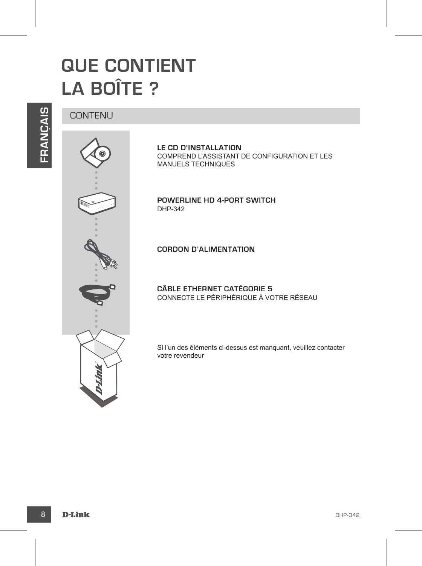### **QUE CONTIENT LA BOÎTE ?**

# **FRANÇAIS**



**LE CD D'INSTALLATION**  COMPREND L'ASSISTANT DE CONFIGURATION ET LES MANUELS TECHNIQUES

**Powerline HD 4-Port Switch** DHP-342

**CORDON D'ALIMENTATION**

**CÂBLE ETHERNET CATÉGORIE 5**  CONNECTE LE PÉRIPHÉRIQUE À VOTRE RÉSEAU

Si l'un des éléments ci-dessus est manquant, veuillez contacter votre revendeur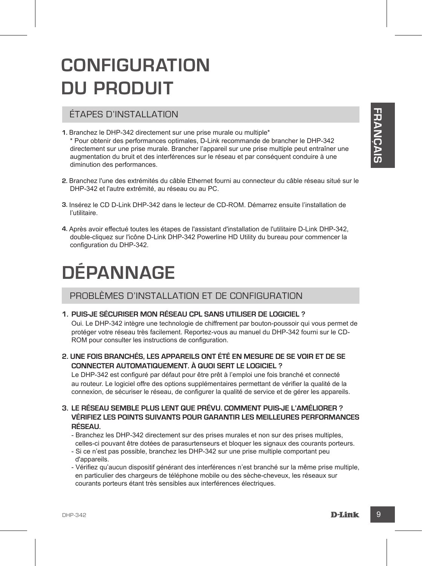### **CONFIGURATION DU PRODUIT**

#### ÉTAPES D'INSTALLATION

- **1.** Branchez le DHP-342 directement sur une prise murale ou multiple\* \* Pour obtenir des performances optimales, D-Link recommande de brancher le DHP-342 directement sur une prise murale. Brancher l'appareil sur une prise multiple peut entraîner une augmentation du bruit et des interférences sur le réseau et par conséquent conduire à une diminution des performances.
- **2.** Branchez l'une des extrémités du câble Ethernet fourni au connecteur du câble réseau situé sur le DHP-342 et l'autre extrémité, au réseau ou au PC.
- **3.** Insérez le CD D-Link DHP-342 dans le lecteur de CD-ROM. Démarrez ensuite l'installation de l'utilitaire.
- **4.** Après avoir effectué toutes les étapes de l'assistant d'installation de l'utilitaire D-Link DHP-342, double-cliquez sur l'icône D-Link DHP-342 Powerline HD Utility du bureau pour commencer la configuration du DHP-342.

# **DÉPANNAGE**

#### PROBLÈMES D'INSTALLATION ET DE CONFIGURATION

#### **1. Puis-je sécuriser mon réseau CPL sans utiliser de logiciel ?**

Oui. Le DHP-342 intègre une technologie de chiffrement par bouton-poussoir qui vous permet de protéger votre réseau très facilement. Reportez-vous au manuel du DHP-342 fourni sur le CD-ROM pour consulter les instructions de configuration.

#### **2. Une fois branchés, les appareils ont été en mesure de se voir et de se connecter automatiquement. À quoi sert le logiciel ?**

Le DHP-342 est configuré par défaut pour être prêt à l'emploi une fois branché et connecté au routeur. Le logiciel offre des options supplémentaires permettant de vérifier la qualité de la connexion, de sécuriser le réseau, de configurer la qualité de service et de gérer les appareils.

#### **3. Le réseau semble plus lent que prévu. Comment puis-je l'améliorer ? Vérifiez les points suivants pour garantir les meilleures performances réseau.**

- Branchez les DHP-342 directement sur des prises murales et non sur des prises multiples, celles-ci pouvant être dotées de parasurtenseurs et bloquer les signaux des courants porteurs.
- Si ce n'est pas possible, branchez les DHP-342 sur une prise multiple comportant peu d'appareils.
- Vérifiez qu'aucun dispositif générant des interférences n'est branché sur la même prise multiple, en particulier des chargeurs de téléphone mobile ou des sèche-cheveux, les réseaux sur courants porteurs étant très sensibles aux interférences électriques.

**F RANÇAIS**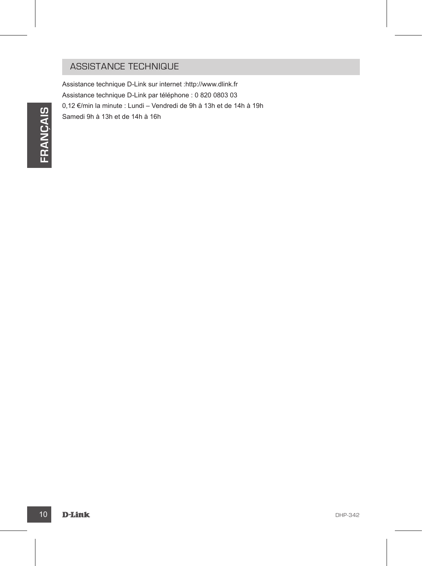#### ASSISTANCE TECHNIQUE

Assistance technique D-Link sur internet :http://www.dlink.fr Assistance technique D-Link par téléphone : 0 820 0803 03 0,12 €/min la minute : Lundi – Vendredi de 9h à 13h et de 14h à 19h Samedi 9h à 13h et de 14h à 16h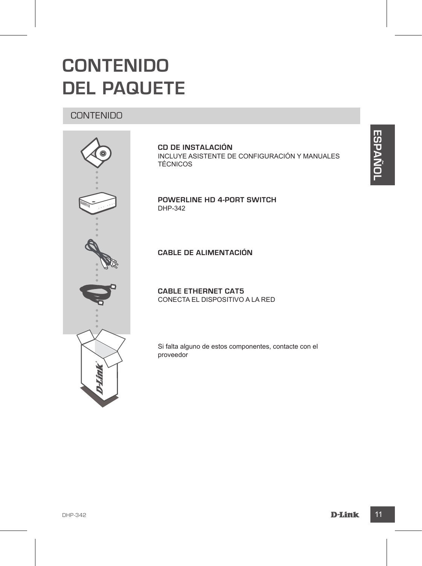### **CONTENIDO DEL PAQUETE**

#### CONTENIDO



**CD DE INSTALACIÓN** INCLUYE ASISTENTE DE CONFIGURACIÓN Y MANUALES **TÉCNICOS** 

**Powerline HD 4-Port Switch** DHP-342

**CABLE DE ALIMENTACIÓN**

**CABLE ETHERNET CAT5** CONECTA EL DISPOSITIVO A LA RED

Si falta alguno de estos componentes, contacte con el proveedor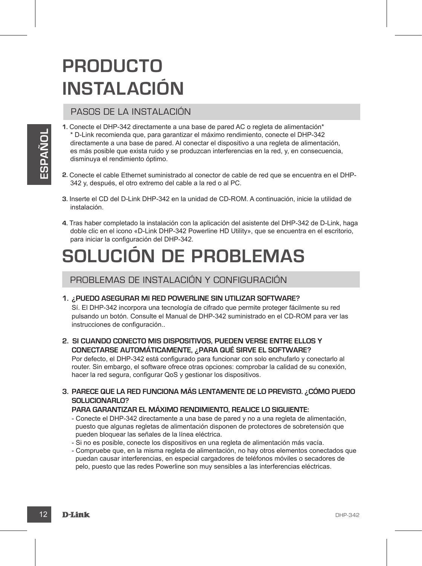## **PRODUCTO INSTALACIÓN**

#### PASOS DE LA INSTALACIÓN

- <sup>2</sup> Duine reconienda que, para paramitar el máximo rendrímeiro, conecio el DHP-342<br>directamente a una base de pared. Al conectar el dispositivo a una regleta de alimentación,<br>els mán posibe que estis múdo y se produzcan i **1.** Conecte el DHP-342 directamente a una base de pared AC o regleta de alimentación\* \* D-Link recomienda que, para garantizar el máximo rendimiento, conecte el DHP-342 directamente a una base de pared. Al conectar el dispositivo a una regleta de alimentación, es más posible que exista ruido y se produzcan interferencias en la red, y, en consecuencia, disminuya el rendimiento óptimo.
	- **2.** Conecte el cable Ethernet suministrado al conector de cable de red que se encuentra en el DHP-342 y, después, el otro extremo del cable a la red o al PC.
	- **3.** Inserte el CD del D-Link DHP-342 en la unidad de CD-ROM. A continuación, inicie la utilidad de instalación.
	- **4.** Tras haber completado la instalación con la aplicación del asistente del DHP-342 de D-Link, haga doble clic en el icono «D-Link DHP-342 Powerline HD Utility», que se encuentra en el escritorio, para iniciar la configuración del DHP-342.

### **SOLUCIÓN DE PROBLEMAS**

PROBLEMAS DE INSTALACIÓN Y CONFIGURACIÓN

#### **1. ¿Puedo asegurar mi red Powerline sin utilizar software?**

Sí. El DHP-342 incorpora una tecnología de cifrado que permite proteger fácilmente su red pulsando un botón. Consulte el Manual de DHP-342 suministrado en el CD-ROM para ver las instrucciones de configuración..

#### **2. Si cuando conecto mis dispositivos, pueden verse entre ellos y conectarse automáticamente, ¿para qué sirve el software?**

Por defecto, el DHP-342 está configurado para funcionar con solo enchufarlo y conectarlo al router. Sin embargo, el software ofrece otras opciones: comprobar la calidad de su conexión, hacer la red segura, configurar QoS y gestionar los dispositivos.

#### **3. Parece que la red funciona más lentamente de lo previsto. ¿Cómo puedo solucionarlo?**

#### **Para garantizar el máximo rendimiento, realice lo siguiente:**

- Conecte el DHP-342 directamente a una base de pared y no a una regleta de alimentación, puesto que algunas regletas de alimentación disponen de protectores de sobretensión que pueden bloquear las señales de la línea eléctrica.
- Si no es posible, conecte los dispositivos en una regleta de alimentación más vacía.
- Compruebe que, en la misma regleta de alimentación, no hay otros elementos conectados que puedan causar interferencias, en especial cargadores de teléfonos móviles o secadores de pelo, puesto que las redes Powerline son muy sensibles a las interferencias eléctricas.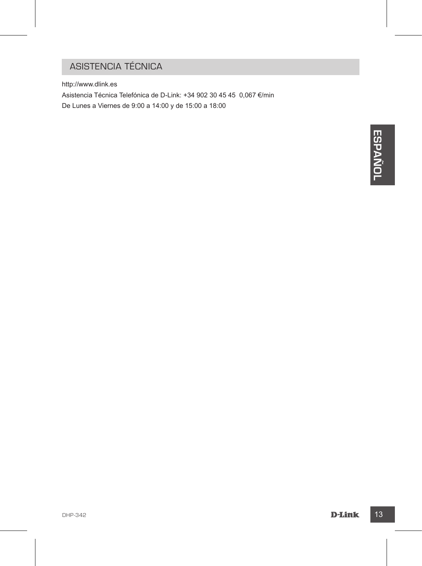### ASISTENCIA TÉCNICA

http://www.dlink.es

Asistencia Técnica Telefónica de D-Link: +34 902 30 45 45 0,067 €/min De Lunes a Viernes de 9:00 a 14:00 y de 15:00 a 18:00

**DHANK**<br>DHP-342<br>D-JAINK 13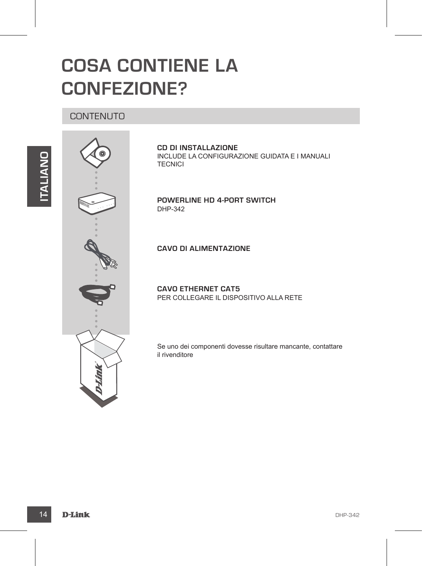### **COSA CONTIENE LA CONFEZIONE?**

#### **CONTENUTO**





**CD DI INSTALLAZIONE**  INCLUDE LA CONFIGURAZIONE GUIDATA E I MANUALI **TECNICI** 

**Powerline HD 4-Port Switch** DHP-342

#### **CAVO DI ALIMENTAZIONE**

**CAVO ETHERNET CAT5** PER COLLEGARE IL DISPOSITIVO ALLA RETE

Se uno dei componenti dovesse risultare mancante, contattare il rivenditore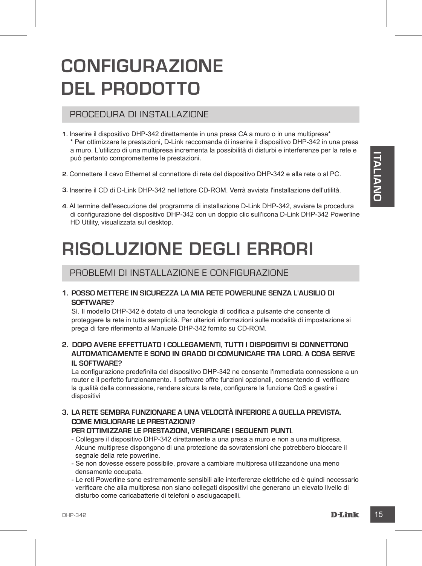### **CONFIGURAZIONE DEL PRODOTTO**

#### PROCEDURA DI INSTALLAZIONE

- **1.** Inserire il dispositivo DHP-342 direttamente in una presa CA a muro o in una multipresa\* \* Per ottimizzare le prestazioni, D-Link raccomanda di inserire il dispositivo DHP-342 in una presa a muro. L'utilizzo di una multipresa incrementa la possibilità di disturbi e interferenze per la rete e può pertanto comprometterne le prestazioni.
- **2.** Connettere il cavo Ethernet al connettore di rete del dispositivo DHP-342 e alla rete o al PC.
- **3.** Inserire il CD di D-Link DHP-342 nel lettore CD-ROM. Verrà avviata l'installazione dell'utilità.
- **4.** Al termine dell'esecuzione del programma di installazione D-Link DHP-342, avviare la procedura di configurazione del dispositivo DHP-342 con un doppio clic sull'icona D-Link DHP-342 Powerline HD Utility, visualizzata sul desktop.

### **RISOLUZIONE DEGLI ERRORI**

#### PROBLEMI DI INSTALLAZIONE E CONFIGURAZIONE

#### **1. Posso mettere in sicurezza la mia rete Powerline senza l'ausilio di software?**

Sì. Il modello DHP-342 è dotato di una tecnologia di codifica a pulsante che consente di proteggere la rete in tutta semplicità. Per ulteriori informazioni sulle modalità di impostazione si prega di fare riferimento al Manuale DHP-342 fornito su CD-ROM.

#### **2. Dopo avere effettuato i collegamenti, tutti i dispositivi si connettono automaticamente e sono in grado di comunicare tra loro. A cosa serve il software?**

pub pertante comprometterne le prestazioni.<br>
2. Connettere il cavo Ethernet al connettore di rete del dispositivo DHP-342 e alla rete o al PC.<br>
3. Inselier li CD di Lin, DHP-342 nel distributato dell'Utilità.<br>
4. Al semine La configurazione predefinita del dispositivo DHP-342 ne consente l'immediata connessione a un router e il perfetto funzionamento. Il software offre funzioni opzionali, consentendo di verificare la qualità della connessione, rendere sicura la rete, configurare la funzione QoS e gestire i dispositivi

#### **3. La rete sembra funzionare a una velocità inferiore a quella prevista. Come migliorare le prestazioni?**

#### **Per ottimizzare le prestazioni, verificare i seguenti punti.**

- Collegare il dispositivo DHP-342 direttamente a una presa a muro e non a una multipresa. Alcune multiprese dispongono di una protezione da sovratensioni che potrebbero bloccare il segnale della rete powerline.
- Se non dovesse essere possibile, provare a cambiare multipresa utilizzandone una meno densamente occupata.
- Le reti Powerline sono estremamente sensibili alle interferenze elettriche ed è quindi necessario verificare che alla multipresa non siano collegati dispositivi che generano un elevato livello di disturbo come caricabatterie di telefoni o asciugacapelli.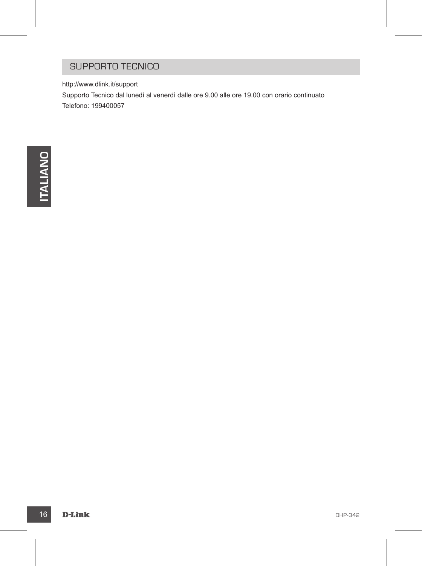#### SUPPORTO TECNICO

http://www.dlink.it/support

Supporto Tecnico dal lunedì al venerdì dalle ore 9.00 alle ore 19.00 con orario continuato Telefono: 199400057

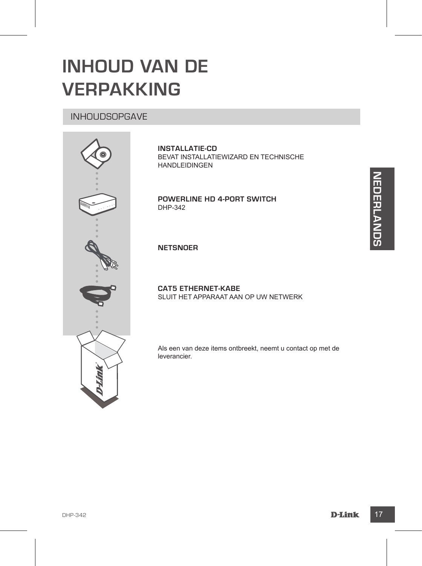### **INHOUD VAN DE VERPAKKING**

#### INHOUDSOPGAVE



**INSTALLATIE-CD**  BEVAT INSTALLATIEWIZARD EN TECHNISCHE HANDLEIDINGEN

**Powerline HD 4-Port Switch** DHP-342

**NETSNOER**

**CAT5 ETHERNET-KABE** SLUIT HET APPARAAT AAN OP UW NETWERK

Als een van deze items ontbreekt, neemt u contact op met de leverancier.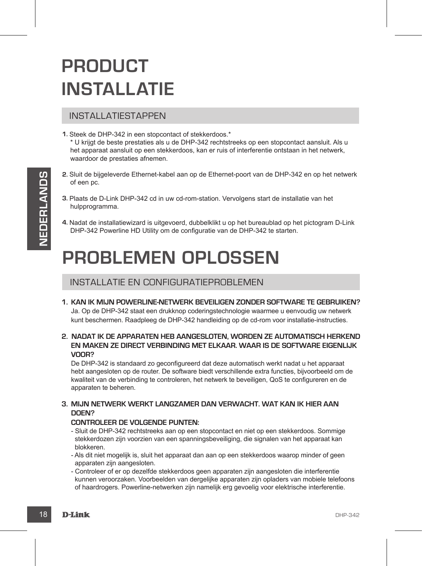### **PRODUCT INSTALLATIE**

#### INSTALLATIESTAPPEN

- **1.** Steek de DHP-342 in een stopcontact of stekkerdoos.\* \* U krijgt de beste prestaties als u de DHP-342 rechtstreeks op een stopcontact aansluit. Als u het apparaat aansluit op een stekkerdoos, kan er ruis of interferentie ontstaan in het netwerk, waardoor de prestaties afnemen.
- **2.** Sluit de bijgeleverde Ethernet-kabel aan op de Ethernet-poort van de DHP-342 en op het netwerk of een pc.
- **3.** Plaats de D-Link DHP-342 cd in uw cd-rom-station. Vervolgens start de installatie van het hulpprogramma.
- **4.** Nadat de installatiewizard is uitgevoerd, dubbelklikt u op het bureaublad op het pictogram D-Link DHP-342 Powerline HD Utility om de configuratie van de DHP-342 te starten.

### **PROBLEMEN OPLOSSEN**

#### INSTALLATIE EN CONFIGURATIEPROBLEMEN

**1. Kan ik mijn Powerline-netwerk beveiligen zonder software te gebruiken?** Ja. Op de DHP-342 staat een drukknop coderingstechnologie waarmee u eenvoudig uw netwerk

kunt beschermen. Raadpleeg de DHP-342 handleiding op de cd-rom voor installatie-instructies.

**2. Nadat ik de apparaten heb aangesloten, worden ze automatisch herkend en maken ze direct verbinding met elkaar. Waar is de software eigenlijk voor?**

4. Nadat de installatiewizerd is uitgevoerd, dubbelikit u op het bureaubild op het pictogram D-Link<br>
DHP-342 Powerline HD UBitly om de configuratie van de DHP-342 te starten.<br>
INSTALLATIE EN CONFIGURATIEPROBLEMEN<br>
1. KAN I De DHP-342 is standaard zo geconfigureerd dat deze automatisch werkt nadat u het apparaat hebt aangesloten op de router. De software biedt verschillende extra functies, bijvoorbeeld om de kwaliteit van de verbinding te controleren, het netwerk te beveiligen, QoS te configureren en de apparaten te beheren.

#### **3. Mijn netwerk werkt langzamer dan verwacht. Wat kan ik hier aan doen?**

#### **Controleer de volgende punten:**

- Sluit de DHP-342 rechtstreeks aan op een stopcontact en niet op een stekkerdoos. Sommige stekkerdozen zijn voorzien van een spanningsbeveiliging, die signalen van het apparaat kan blokkeren.
- Als dit niet mogelijk is, sluit het apparaat dan aan op een stekkerdoos waarop minder of geen apparaten zijn aangesloten.
- Controleer of er op dezelfde stekkerdoos geen apparaten zijn aangesloten die interferentie kunnen veroorzaken. Voorbeelden van dergelijke apparaten zijn opladers van mobiele telefoons of haardrogers. Powerline-netwerken zijn namelijk erg gevoelig voor elektrische interferentie.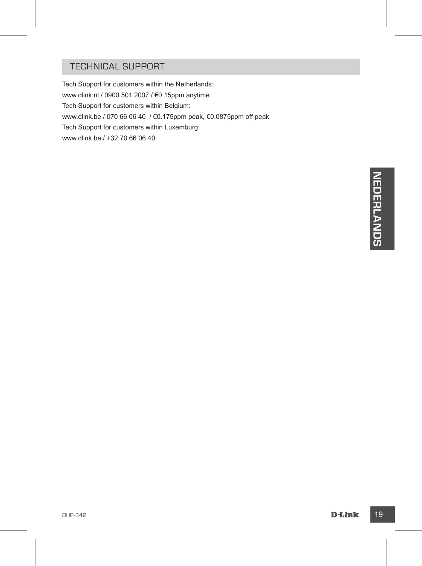#### TECHNICAL SUPPORT

Tech Support for customers within the Netherlands: www.dlink.nl / 0900 501 2007 / €0.15ppm anytime. Tech Support for customers within Belgium: www.dlink.be / 070 66 06 40 / €0.175ppm peak, €0.0875ppm off peak Tech Support for customers within Luxemburg: www.dlink.be / +32 70 66 06 40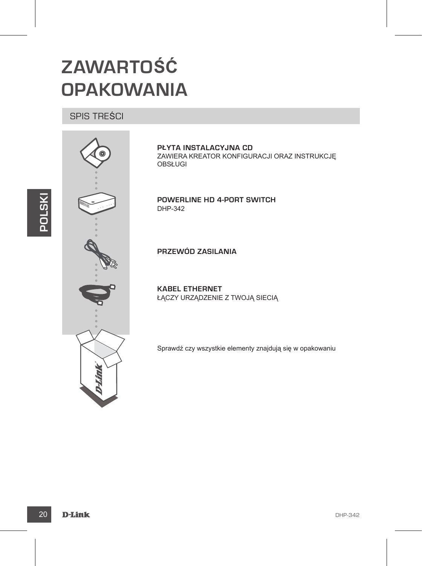### **ZAWARTOŚĆ OPAKOWANIA**

#### SPIS TREŚCI



**PŁYTA INSTALACYJNA CD**  ZAWIERA KREATOR KONFIGURACJI ORAZ INSTRUKCJĘ OBSŁUGI

**Powerline HD 4-Port Switch** DHP-342

**PRZEWÓD ZASILANIA**

**KABEL ETHERNET** ŁĄCZY URZĄDZENIE Z TWOJĄ SIECIĄ

Sprawdź czy wszystkie elementy znajdują się w opakowaniu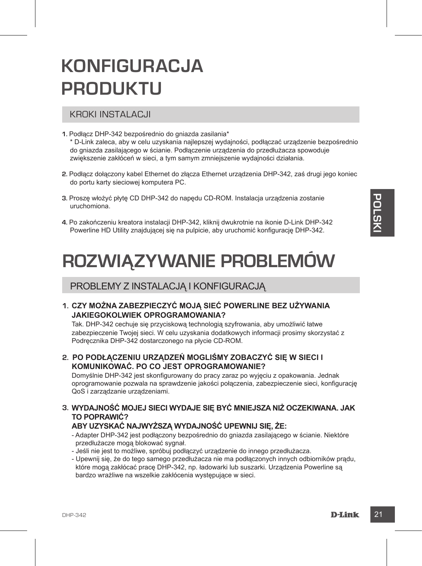### **KONFIGURACJA PRODUKTU**

#### KROKI INSTALACJI

- **1.** Podłącz DHP-342 bezpośrednio do gniazda zasilania\* \* D-Link zaleca, aby w celu uzyskania najlepszej wydajności, podłączać urządzenie bezpośrednio do gniazda zasilającego w ścianie. Podłączenie urządzenia do przedłużacza spowoduje zwiększenie zakłóceń w sieci, a tym samym zmniejszenie wydajności działania.
- **2.** Podłącz dołączony kabel Ethernet do złącza Ethernet urządzenia DHP-342, zaś drugi jego koniec do portu karty sieciowej komputera PC.
- **3.** Proszę włożyć płytę CD DHP-342 do napędu CD-ROM. Instalacja urządzenia zostanie uruchomiona.
- **4.** Po zakończeniu kreatora instalacji DHP-342, kliknij dwukrotnie na ikonie D-Link DHP-342 Powerline HD Utility znajdującej się na pulpicie, aby uruchomić konfigurację DHP-342.

### **ROZWIĄZYWANIE PROBLEMÓW**

#### PROBLEMY Z INSTALACJĄ I KONFIGURACJĄ

#### **1. Czy można zabezpieczyć moją sieć Powerline bez używania jakiegokolwiek oprogramowania?**

Tak. DHP-342 cechuje się przyciskową technologią szyfrowania, aby umożliwić łatwe zabezpieczenie Twojej sieci. W celu uzyskania dodatkowych informacji prosimy skorzystać z Podręcznika DHP-342 dostarczonego na płycie CD-ROM.

**2. Po podłączeniu urządzeń mogliśmy zobaczyć się w sieci i komunikować. Po co jest oprogramowanie?**

**B.** Proze who by physical proses and the process of the process of the process of the process of the process of the process of the process of the process of the process of the process of the process of the process of the Domyślnie DHP-342 jest skonfigurowany do pracy zaraz po wyjęciu z opakowania. Jednak oprogramowanie pozwala na sprawdzenie jakości połączenia, zabezpieczenie sieci, konfigurację QoS i zarządzanie urządzeniami.

**3. Wydajność mojej sieci wydaje się być mniejsza niż oczekiwana. Jak to poprawić?**

#### **Aby uzyskać najwyższą wydajność upewnij się, że:**

- Adapter DHP-342 jest podłączony bezpośrednio do gniazda zasilającego w ścianie. Niektóre przedłużacze mogą blokować sygnał.
- Jeśli nie jest to możliwe, spróbuj podłączyć urządzenie do innego przedłużacza.
- Upewnij się, że do tego samego przedłużacza nie ma podłączonych innych odbiorników prądu, które mogą zakłócać pracę DHP-342, np. ładowarki lub suszarki. Urządzenia Powerline są bardzo wrażliwe na wszelkie zakłócenia występujące w sieci.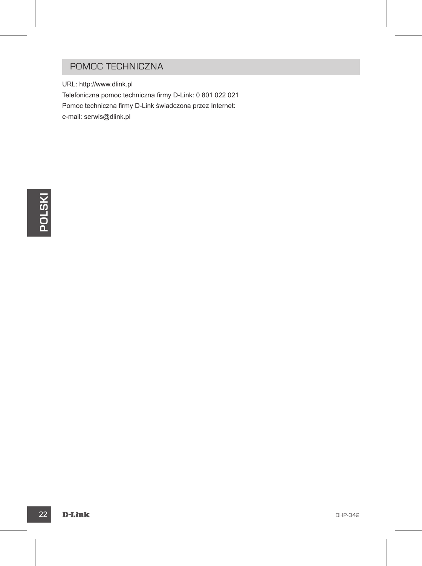#### POMOC TECHNICZNA

URL: http://www.dlink.pl Telefoniczna pomoc techniczna firmy D-Link: 0 801 022 021 Pomoc techniczna firmy D-Link świadczona przez Internet: e-mail: serwis@dlink.pl

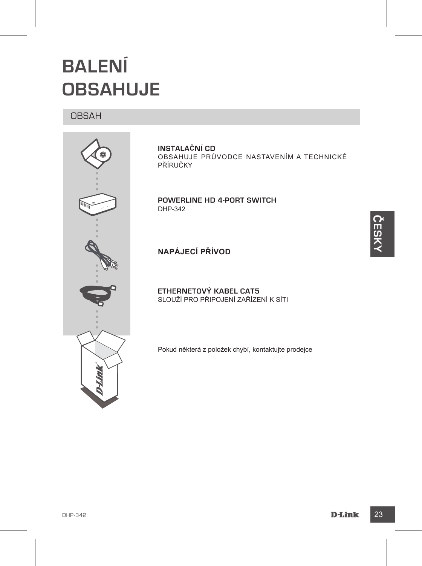

**BALENÍ** 

OBSAH

**OBSAHUJE**

**INSTALAČNÍ CD**  OBSAHUJE PRŮVODCE NASTAVENÍM A TECHNICKÉ PŘÍRUČKY

**Powerline HD 4-Port Switch** DHP-342

**NAPÁJECÍ PŘÍVOD**

**ETHERNETOVÝ KABEL CAT5**  SLOUŽÍ PRO PŘIPOJENÍ ZAŘÍZENÍ K SÍTI

Pokud některá z položek chybí, kontaktujte prodejce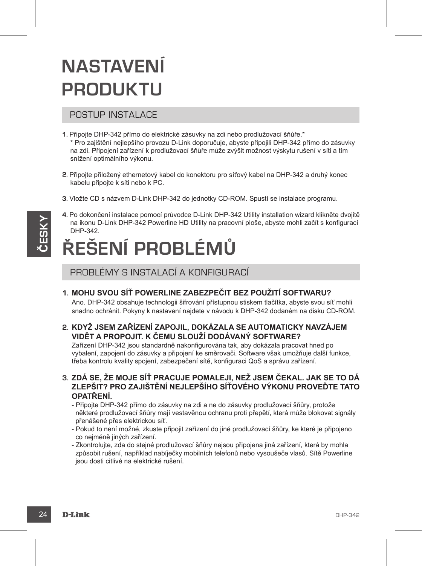# **NASTAVENÍ PRODUKTU**

#### POSTUP INSTALACE

- **1.** Připojte DHP-342 přímo do elektrické zásuvky na zdi nebo prodlužovací šňůře.\* \* Pro zajištění nejlepšího provozu D-Link doporučuje, abyste připojili DHP-342 přímo do zásuvky na zdi. Připojení zařízení k prodlužovací šňůře může zvýšit možnost výskytu rušení v síti a tím snížení optimálního výkonu.
- **2.** Připojte přiložený ethernetový kabel do konektoru pro síťový kabel na DHP-342 a druhý konec kabelu připojte k síti nebo k PC.
- **3.** Vložte CD s názvem D-Link DHP-342 do jednotky CD-ROM. Spustí se instalace programu.
- **4.** Po dokončení instalace pomocí průvodce D-Link DHP-342 Utility installation wizard klikněte dvojitě na ikonu D-Link DHP-342 Powerline HD Utility na pracovní ploše, abyste mohli začít s konfigurací DHP-342.

# **ŘEŠENÍ PROBLÉMŮ**

PROBLÉMY S INSTALACÍ A KONFIGURACÍ

**1. Mohu svou síť Powerline zabezpečit bez použití softwaru?**

Ano. DHP-342 obsahuje technologii šifrování přístupnou stiskem tlačítka, abyste svou síť mohli snadno ochránit. Pokyny k nastavení najdete v návodu k DHP-342 dodaném na disku CD-ROM.

**2. Když jsem zařízení zapojil, dokázala se automaticky navzájem vidět a propojit. K čemu slouží dodávaný software?**

Zařízení DHP-342 jsou standardně nakonfigurována tak, aby dokázala pracovat hned po vybalení, zapojení do zásuvky a připojení ke směrovači. Software však umožňuje další funkce, třeba kontrolu kvality spojení, zabezpečení sítě, konfiguraci QoS a správu zařízení.

**3. Zdá se, že moje síť pracuje pomaleji, než jsem čekal. Jak se to dá zlepšit? Pro zajištění nejlepšího síťového výkonu proveďte tato opatření.**

- Připojte DHP-342 přímo do zásuvky na zdi a ne do zásuvky prodlužovací šňůry, protože některé prodlužovací šňůry mají vestavěnou ochranu proti přepětí, která může blokovat signály přenášené přes elektrickou síť.

- Pokud to není možné, zkuste připojit zařízení do jiné prodlužovací šňůry, ke které je připojeno co nejméně jiných zařízení.
- Zkontrolujte, zda do stejné prodlužovací šňůry nejsou připojena jiná zařízení, která by mohla způsobit rušení, například nabíječky mobilních telefonů nebo vysoušeče vlasů. Sítě Powerline jsou dosti citlivé na elektrické rušení.

**ČESK Y**

#### 24 D-Link Department of the contract of the contract of the contract of the contract of the contract of the contract of the contract of the contract of the contract of the contract of the contract of the contract of the co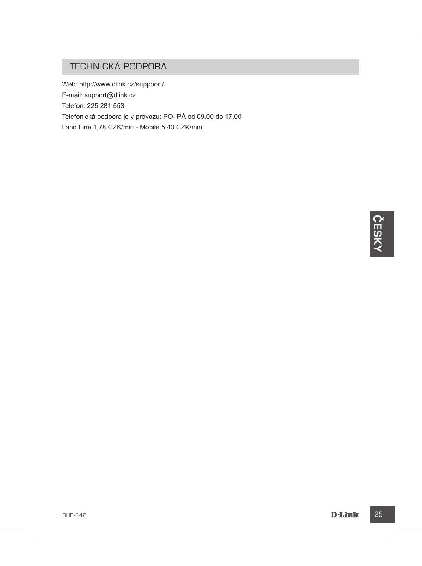### TECHNICKÁ PODPORA

Web: http://www.dlink.cz/suppport/ E-mail: support@dlink.cz Telefon: 225 281 553 Telefonická podpora je v provozu: PO- PÁ od 09.00 do 17.00 Land Line 1,78 CZK/min - Mobile 5.40 CZK/min

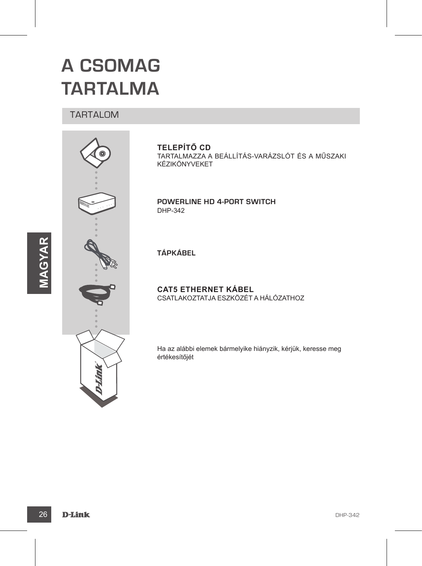### **A CSOMAG TARTALMA**

#### TARTALOM



**TELEPÍTŐ CD**

TARTALMAZZA A BEÁLLÍTÁS-VARÁZSLÓT ÉS A MŰSZAKI KÉZIKÖNYVEKET

**Powerline HD 4-Port Switch** DHP-342

**TÁPKÁBEL**

**CAT5 ETHERNET KÁBEL** CSATLAKOZTATJA ESZKÖZÉT A HÁLÓZATHOZ

Ha az alábbi elemek bármelyike hiányzik, kérjük, keresse meg értékesítőjét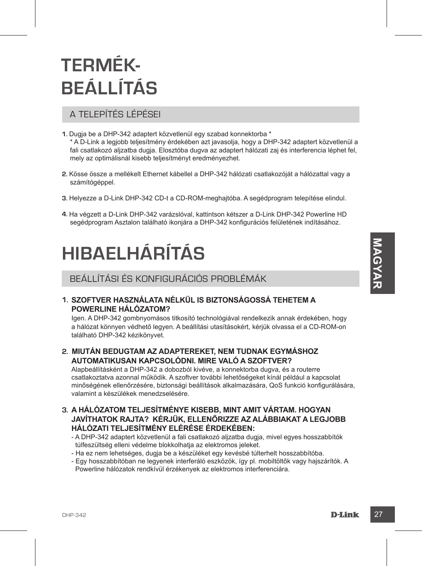# **TERMÉK-BEÁLLÍTÁS**

### A TELEPÍTÉS LÉPÉSEI

- **1.** Dugja be a DHP-342 adaptert közvetlenül egy szabad konnektorba \* \* A D-Link a legjobb teljesítmény érdekében azt javasolja, hogy a DHP-342 adaptert közvetlenül a fali csatlakozó aljzatba dugja. Elosztóba dugva az adaptert hálózati zaj és interferencia léphet fel, mely az optimálisnál kisebb teljesítményt eredményezhet.
- **2.** Kösse össze a mellékelt Ethernet kábellel a DHP-342 hálózati csatlakozóját a hálózattal vagy a számítógéppel.
- **3.** Helyezze a D-Link DHP-342 CD-t a CD-ROM-meghajtóba. A segédprogram telepítése elindul.
- **4.** Ha végzett a D-Link DHP-342 varázslóval, kattintson kétszer a D-Link DHP-342 Powerline HD segédprogram Asztalon található ikonjára a DHP-342 konfigurációs felületének indításához.

# **HIBAELHÁRÍTÁS**

BEÁLLÍTÁSI ÉS KONFIGURÁCIÓS PROBLÉMÁK

#### **1. Szoftver használata nélkül is biztonságossá tehetem a Powerline hálózatom?**

Igen. A DHP-342 gombnyomásos titkosító technológiával rendelkezik annak érdekében, hogy a hálózat könnyen védhető legyen. A beállítási utasításokért, kérjük olvassa el a CD-ROM-on található DHP-342 kézikönyvet.

#### **2. Miután bedugtam az adaptereket, nem tudnak egymáshoz automatikusan kapcsolódni. Mire való a szoftver?**

**HIBAELHÁRITÁS**<br>
BEÁLLÍTÁSI ÉS KONFIGURÁCIÓS PROBLÉMÁK<br>
1. SZOFTVER HASZNÁLATA NÉLKÜL IS BIZTONSÁGOSSÁ TEHETEM A<br>
POWERLINE HÁLÓZATOM?<br>
Igen. A DHP-342 gombnyomásos titustei bichnológiaval rendelkezik annak rédekén, hogy<br> Alapbeállításként a DHP-342 a dobozból kivéve, a konnektorba dugva, és a routerre csatlakoztatva azonnal működik. A szoftver további lehetőségeket kínál például a kapcsolat minőségének ellenőrzésére, biztonsági beállítások alkalmazására, QoS funkció konfigurálására, valamint a készülékek menedzselésére.

- **3. A hálózatom teljesítménye kisebb, mint amit vártam. Hogyan javíthatok rajta? Kérjük, ellenőrizze az alábbiakat a legjobb hálózati teljesítmény elérése érdekében:**
	- A DHP-342 adaptert közvetlenül a fali csatlakozó aljzatba dugja, mivel egyes hosszabbítók túlfeszültség elleni védelme blokkolhatja az elektromos jeleket.
	- Ha ez nem lehetséges, dugja be a készüléket egy kevésbé túlterhelt hosszabbítóba.
	- Egy hosszabbítóban ne legyenek interferáló eszközök, így pl. mobiltöltők vagy hajszárítók. A Powerline hálózatok rendkívül érzékenyek az elektromos interferenciára.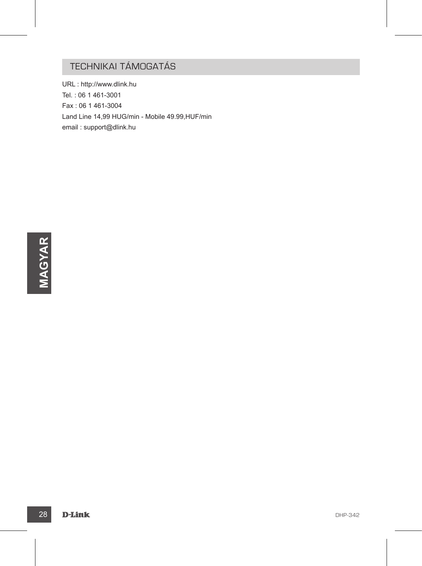### TECHNIKAI TÁMOGATÁS

URL : http://www.dlink.hu Tel. : 06 1 461-3001 Fax : 06 1 461-3004 Land Line 14,99 HUG/min - Mobile 49.99,HUF/min email : support@dlink.hu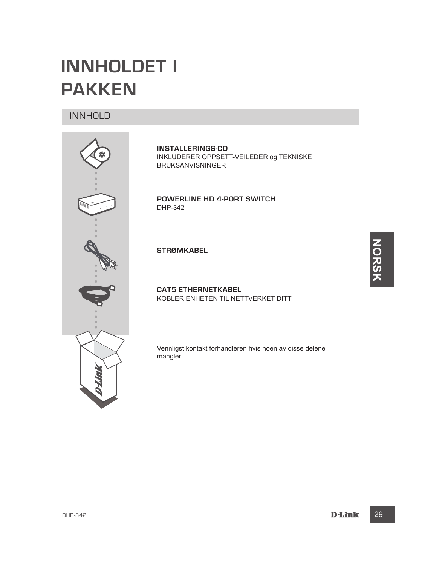### **INNHOLDET I PAKKEN**

#### INNHOLD



**INSTALLERINGS-CD**  INKLUDERER OPPSETT-VEILEDER og TEKNISKE BRUKSANVISNINGER

**Powerline HD 4-Port Switch** DHP-342

**STRØMKABEL**

**CAT5 ETHERNETKABEL** KOBLER ENHETEN TIL NETTVERKET DITT

Vennligst kontakt forhandleren hvis noen av disse delene mangler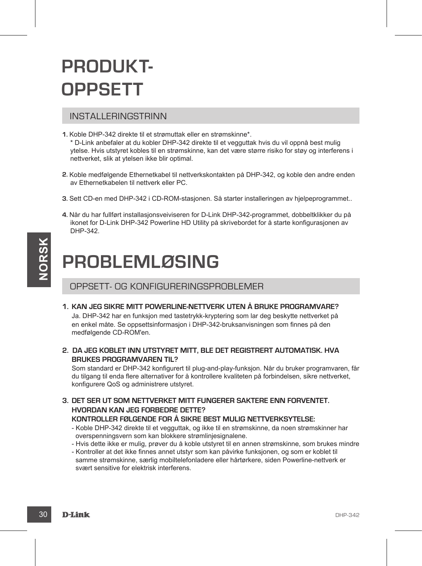### **PRODUKT-OPPSETT**

#### INSTALLERINGSTRINN

- **1.** Koble DHP-342 direkte til et strømuttak eller en strømskinne\*. \* D-Link anbefaler at du kobler DHP-342 direkte til et vegguttak hvis du vil oppnå best mulig ytelse. Hvis utstyret kobles til en strømskinne, kan det være større risiko for støy og interferens i nettverket, slik at ytelsen ikke blir optimal.
- **2.** Koble medfølgende Ethernetkabel til nettverkskontakten på DHP-342, og koble den andre enden av Ethernetkabelen til nettverk eller PC.
- **3.** Sett CD-en med DHP-342 i CD-ROM-stasjonen. Så starter installeringen av hjelpeprogrammet..
- **4.** Når du har fullført installasjonsveiviseren for D-Link DHP-342-programmet, dobbeltklikker du på ikonet for D-Link DHP-342 Powerline HD Utility på skrivebordet for å starte konfigurasjonen av DHP-342.

### **PROBLEMLØSING**

#### OPPSETT- OG KONFIGURERINGSPROBLEMER

**1. Kan jeg sikre mitt Powerline-nettverk uten å bruke programvare?**

Ja. DHP-342 har en funksjon med tastetrykk-kryptering som lar deg beskytte nettverket på en enkel måte. Se oppsettsinformasjon i DHP-342-bruksanvisningen som finnes på den medfølgende CD-ROM'en.

**2. Da jeg koblet inn utstyret mitt, ble det registrert automatisk. Hva brukes programvaren til?**

**EXAMPLE SET ANTERNATION CONTROLLER CONTROLLER FOLLOGY (STATE)**<br>
3. DHP-342 DESIRE MITT POWERLINE-NETTVERK UTEN A BRUKE PROGRAMVARE?<br>
3. DHP-342 IR are funking mediately skewing the site with the speeds theoretic pair ends Som standard er DHP-342 konfigurert til plug-and-play-funksjon. Når du bruker programvaren, får du tilgang til enda flere alternativer for å kontrollere kvaliteten på forbindelsen, sikre nettverket, konfigurere QoS og administrere utstyret.

**3. Det ser ut som nettverket mitt fungerer saktere enn forventet. Hvordan kan jeg forbedre dette? Kontroller følgende for å sikre best mulig nettverksytelse:**

- Koble DHP-342 direkte til et vegguttak, og ikke til en strømskinne, da noen strømskinner har overspenningsvern som kan blokkere strømlinjesignalene.
- Hvis dette ikke er mulig, prøver du å koble utstyret til en annen strømskinne, som brukes mindre
- Kontroller at det ikke finnes annet utstyr som kan påvirke funksjonen, og som er koblet til samme strømskinne, særlig mobiltelefonladere eller hårtørkere, siden Powerline-nettverk er svært sensitive for elektrisk interferens.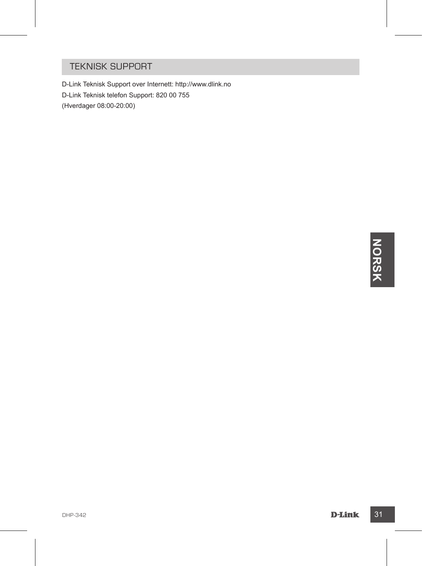#### TEKNISK SUPPORT

D-Link Teknisk Support over Internett: http://www.dlink.no D-Link Teknisk telefon Support: 820 00 755 (Hverdager 08:00-20:00)

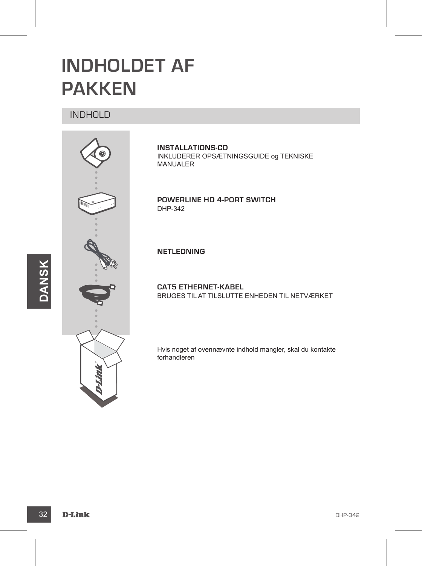### **INDHOLDET AF PAKKEN**

INDHOLD



**INSTALLATIONS-CD** INKLUDERER OPSÆTNINGSGUIDE og TEKNISKE MANUALER

**Powerline HD 4-Port Switch** DHP-342

**NETLEDNING**

**CAT5 ETHERNET-KABEL** BRUGES TIL AT TILSLUTTE ENHEDEN TIL NETVÆRKET

Hvis noget af ovennævnte indhold mangler, skal du kontakte forhandleren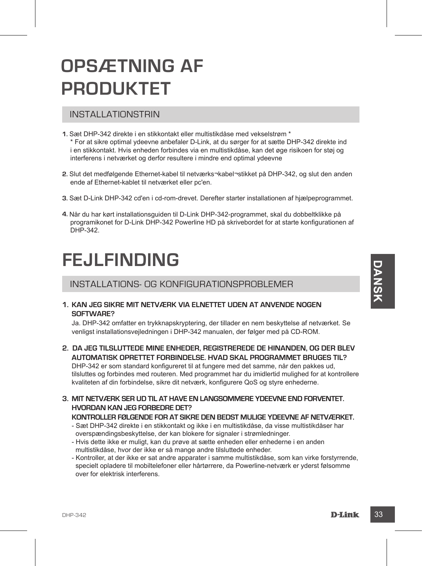### **OPSÆTNING AF PRODUKTET**

#### INSTALLATIONSTRIN

- **1.** Sæt DHP-342 direkte i en stikkontakt eller multistikdåse med vekselstrøm \* \* For at sikre optimal ydeevne anbefaler D-Link, at du sørger for at sætte DHP-342 direkte ind i en stikkontakt. Hvis enheden forbindes via en multistikdåse, kan det øge risikoen for støj og interferens i netværket og derfor resultere i mindre end optimal ydeevne
- **2.** Slut det medfølgende Ethernet-kabel til netværks¬kabel¬stikket på DHP-342, og slut den anden ende af Ethernet-kablet til netværket eller pc'en.
- **3.** Sæt D-Link DHP-342 cd'en i cd-rom-drevet. Derefter starter installationen af hjælpeprogrammet.
- **4.** Når du har kørt installationsguiden til D-Link DHP-342-programmet, skal du dobbeltklikke på programikonet for D-Link DHP-342 Powerline HD på skrivebordet for at starte konfigurationen af DHP-342.

### **FEJLFINDING**

INSTALLATIONS- OG KONFIGURATIONSPROBLEMER

**1. Kan jeg sikre mit netværk via elnettet uden at anvende nogen software?**

Ja. DHP-342 omfatter en trykknapskryptering, der tillader en nem beskyttelse af netværket. Se venligst installationsvejledningen i DHP-342 manualen, der følger med på CD-ROM.

**2. Da jeg tilsluttede mine enheder, registrerede de hinanden, og der blev automatisk oprettet forbindelse. Hvad skal programmet bruges til?**

DHP-342 er som standard konfigureret til at fungere med det samme, når den pakkes ud, tilsluttes og forbindes med routeren. Med programmet har du imidlertid mulighed for at kontrollere kvaliteten af din forbindelse, sikre dit netværk, konfigurere QoS og styre enhederne.

**3. Mit netværk ser ud til at have en langsommere ydeevne end forventet. Hvordan kan jeg forbedre det?**

#### **Kontroller følgende for at sikre den bedst mulige ydeevne af netværket.**

- Sæt DHP-342 direkte i en stikkontakt og ikke i en multistikdåse, da visse multistikdåser har overspændingsbeskyttelse, der kan blokere for signaler i strømledninger.
- Hvis dette ikke er muligt, kan du prøve at sætte enheden eller enhederne i en anden multistikdåse, hvor der ikke er så mange andre tilsluttede enheder.
- **PLACE SE SET AND THE SET AND THE SET AND THE SET AND THE SET AND THE SET AND THE SET AND THE SET AND THE SET AND THE SET AND THE SET AND THE SET AND THE SET AND THE SET AND THAN A SET AND THE SET AND THE SET AND THE SET A** - Kontroller, at der ikke er sat andre apparater i samme multistikdåse, som kan virke forstyrrende, specielt opladere til mobiltelefoner eller hårtørrere, da Powerline-netværk er yderst følsomme over for elektrisk interferens.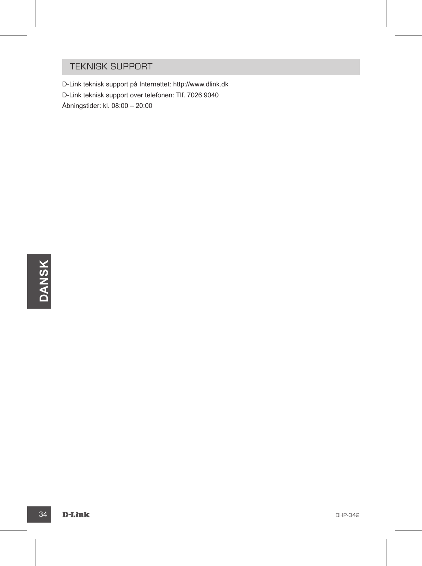#### TEKNISK SUPPORT

D-Link teknisk support på Internettet: http://www.dlink.dk D-Link teknisk support over telefonen: Tlf. 7026 9040 Åbningstider: kl. 08:00 – 20:00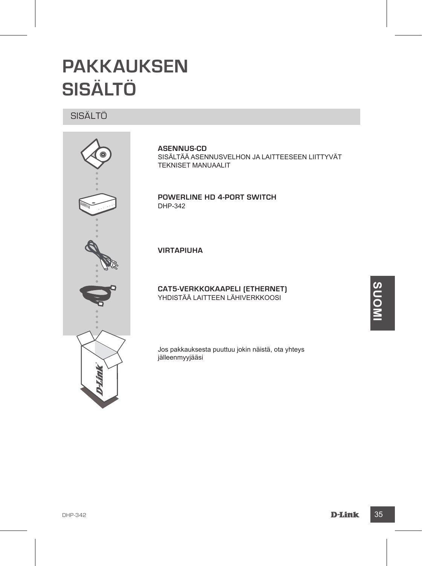### **PAKKAUKSEN SISÄLTÖ**

#### SISÄLTÖ



#### **ASENNUS-CD**

SISÄLTÄÄ ASENNUSVELHON JA LAITTEESEEN LIITTYVÄT TEKNISET MANUAALIT

**Powerline HD 4-Port Switch** DHP-342

**VIRTAPIUHA**

**CAT5-VERKKOKAAPELI (ETHERNET)** YHDISTÄÄ LAITTEEN LÄHIVERKKOOSI

Jos pakkauksesta puuttuu jokin näistä, ota yhteys jälleenmyyjääsi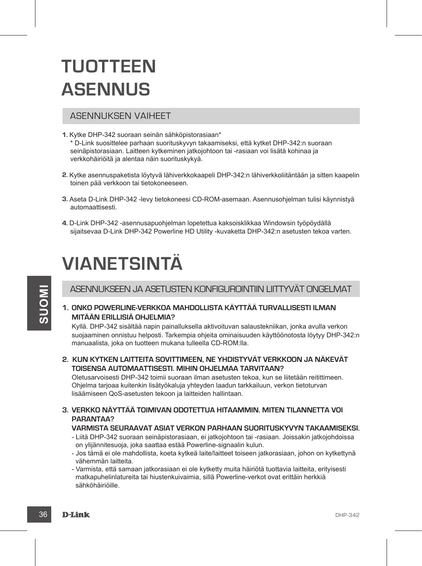### **TUOTTEEN ASENNUS**

#### ASENNUKSEN VAIHEET

- **1.** Kytke DHP-342 suoraan seinän sähköpistorasiaan\* \* D-Link suosittelee parhaan suorituskyvyn takaamiseksi, että kytket DHP-342:n suoraan seinäpistorasiaan. Laitteen kytkeminen jatkojohtoon tai -rasiaan voi lisätä kohinaa ja verkkohäiriöitä ja alentaa näin suorituskykyä.
- **2.** Kytke asennuspaketista löytyvä lähiverkkokaapeli DHP-342:n lähiverkkoliitäntään ja sitten kaapelin toinen pää verkkoon tai tietokoneeseen.
- **3.** Aseta D-Link DHP-342 -levy tietokoneesi CD-ROM-asemaan. Asennusohjelman tulisi käynnistyä automaattisesti.
- **4.** D-Link DHP-342 -asennusapuohjelman lopetettua kaksoisklikkaa Windowsin työpöydällä sijaitsevaa D-Link DHP-342 Powerline HD Utility -kuvaketta DHP-342:n asetusten tekoa varten.

### **VIANETSINTÄ**

#### ASENNUKSEEN JA ASETUSTEN KONFIGUROINTIIN LIITTYVÄT ONGELMAT

**1. Onko Powerline-verkkoa mahdollista käyttää turvallisesti ilman mitään erillisiä ohjelmia?**

**36 DENNIUKSEEN JA ASETUSTEN KONFIGUROINTIIN LIITTYVAT ONGELMAT<br>
1. ONKO POWERLINE-VERKKOA MAHDOLLISTA KÄYTTÄÄ TURVALLISESTI ILMAN<br>
MITÄÄN ERILLISIÄ OHJELIMA?<br>
Kyllä. DHP-342 isiällää napin painalluksella aktivoituvan sala** Kyllä. DHP-342 sisältää napin painalluksella aktivoituvan salaustekniikan, jonka avulla verkon suojaaminen onnistuu helposti. Tarkempia ohjeita ominaisuuden käyttöönotosta löytyy DHP-342:n manuaalista, joka on tuotteen mukana tulleella CD-ROM:lla.

**2. Kun kytken laitteita sovittimeen, ne yhdistyvät verkkoon ja näkevät toisensa automaattisesti. Mihin ohjelmaa tarvitaan?**

Oletusarvoisesti DHP-342 toimii suoraan ilman asetusten tekoa, kun se liitetään reitittimeen. Ohjelma tarjoaa kuitenkin lisätyökaluja yhteyden laadun tarkkailuun, verkon tietoturvan lisäämiseen QoS-asetusten tekoon ja laitteiden hallintaan.

**3. Verkko näyttää toimivan odotettua hitaammin. Miten tilannetta voi parantaa?**

#### **Varmista seuraavat asiat verkon parhaan suorituskyvyn takaamiseksi.**

- Liitä DHP-342 suoraan seinäpistorasiaan, ei jatkojohtoon tai -rasiaan. Joissakin jatkojohdoissa on ylijännitesuoja, joka saattaa estää Powerline-signaalin kulun.
- Jos tämä ei ole mahdollista, koeta kytkeä laite/laitteet toiseen jatkorasiaan, johon on kytkettynä vähemmän laitteita.
- Varmista, että samaan jatkorasiaan ei ole kytketty muita häiriötä tuottavia laitteita, erityisesti matkapuhelinlatureita tai hiustenkuivaimia, sillä Powerline-verkot ovat erittäin herkkiä sähköhäiriöille.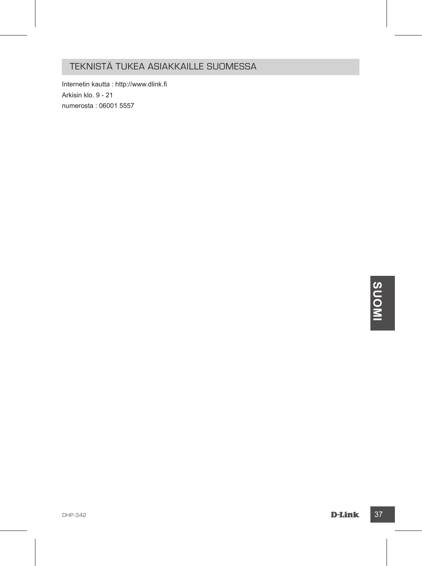#### TEKNISTÄ TUKEA ASIAKKAILLE SUOMESSA

Internetin kautta : http://www.dlink.fi Arkisin klo. 9 - 21 numerosta : 06001 5557

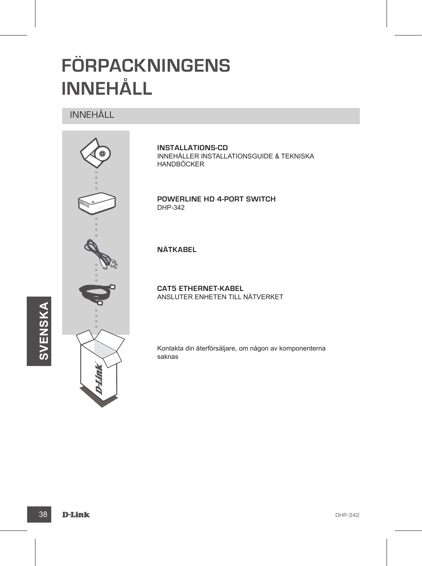# **FÖRPACKNINGENS INNEHÅLL**

#### INNEHÅLL



**INSTALLATIONS-CD** INNEHÅLLER INSTALLATIONSGUIDE & TEKNISKA HANDBÖCKER

**Powerline HD 4-Port Switch** DHP-342

**NÄTKABEL**

**CAT5 ETHERNET-KABEL** ANSLUTER ENHETEN TILL NÄTVERKET

Kontakta din återförsäljare, om någon av komponenterna saknas

 $\boldsymbol{\omega}$ 

**VENSKA**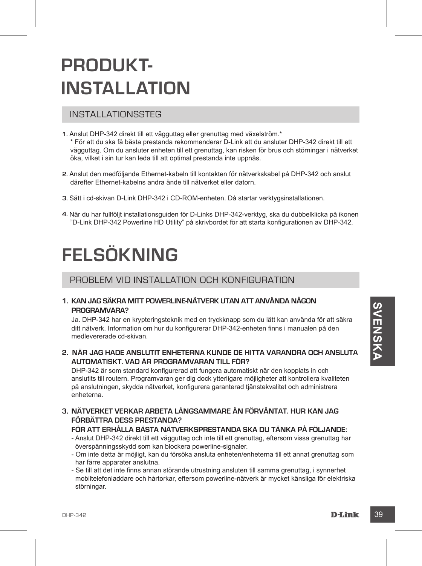#### DHP-342 **D-Link 39**

### **PRODUKT-INSTALLATION**

#### INSTALLATIONSSTEG

- **1.** Anslut DHP-342 direkt till ett vägguttag eller grenuttag med växelström.\* \* För att du ska få bästa prestanda rekommenderar D-Link att du ansluter DHP-342 direkt till ett vägguttag. Om du ansluter enheten till ett grenuttag, kan risken för brus och störningar i nätverket öka, vilket i sin tur kan leda till att optimal prestanda inte uppnås.
- **2.** Anslut den medföljande Ethernet-kabeln till kontakten för nätverkskabel på DHP-342 och anslut därefter Ethernet-kabelns andra ände till nätverket eller datorn.
- **3.** Sätt i cd-skivan D-Link DHP-342 i CD-ROM-enheten. Då startar verktygsinstallationen.
- **4.** När du har fullföljt installationsguiden för D-Links DHP-342-verktyg, ska du dubbelklicka på ikonen "D-Link DHP-342 Powerline HD Utility" på skrivbordet för att starta konfigurationen av DHP-342.

### **FELSÖKNING**

#### PROBLEM VID INSTALLATION OCH KONFIGURATION

**1. Kan jag säkra mitt Powerline-nätverk utan att använda någon programvara?**

Ja. DHP-342 har en krypteringsteknik med en tryckknapp som du lätt kan använda för att säkra ditt nätverk. Information om hur du konfigurerar DHP-342-enheten finns i manualen på den medlevererade cd-skivan.

**2. När jag hade anslutit enheterna kunde de hitta varandra och ansluta automatiskt. Vad är programvaran till för?**

DHP-342 är som standard konfigurerad att fungera automatiskt när den kopplats in och anslutits till routern. Programvaran ger dig dock ytterligare möjligheter att kontrollera kvaliteten på anslutningen, skydda nätverket, konfigurera garanterad tjänstekvalitet och administrera enheterna.

**3. Nätverket verkar arbeta långsammare än förväntat. Hur kan jag förbättra dess prestanda?**

#### **För att erhålla bästa nätverksprestanda ska du tänka på följande:**

- Anslut DHP-342 direkt till ett vägguttag och inte till ett grenuttag, eftersom vissa grenuttag har överspänningsskydd som kan blockera powerline-signaler.
- Om inte detta är möjligt, kan du försöka ansluta enheten/enheterna till ett annat grenuttag som har färre apparater anslutna.
- Se till att det inte finns annan störande utrustning ansluten till samma grenuttag, i synnerhet mobiltelefonladdare och hårtorkar, eftersom powerline-nätverk är mycket känsliga för elektriska störningar.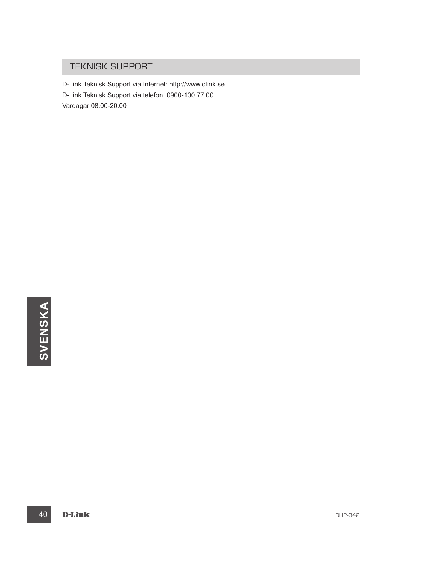#### TEKNISK SUPPORT

D-Link Teknisk Support via Internet: http://www.dlink.se D-Link Teknisk Support via telefon: 0900-100 77 00 Vardagar 08.00-20.00

40 D-Link Department of the contract of the contract of the contract of the contract of the contract of the contract of the contract of the contract of the contract of the contract of the contract of the contract of the co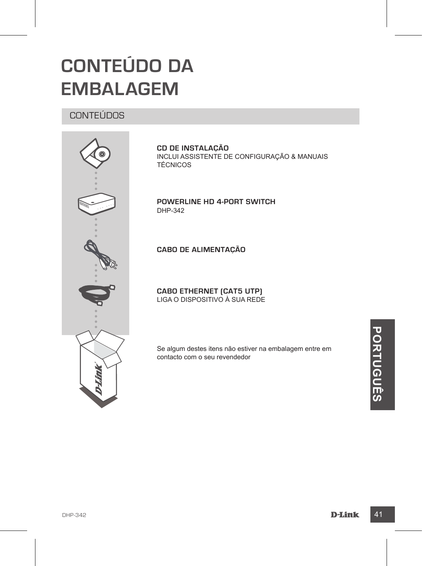### **CONTEÚDO DA EMBALAGEM**

#### CONTEÚDOS



**CD DE INSTALAÇÃO** INCLUI ASSISTENTE DE CONFIGURAÇÃO & MANUAIS TÉCNICOS

**Powerline HD 4-Port Switch** DHP-342

**CABO DE ALIMENTAÇÃO**

**CABO ETHERNET (CAT5 UTP)** LIGA O DISPOSITIVO À SUA REDE

Se algum destes itens não estiver na embalagem entre em contacto com o seu revendedor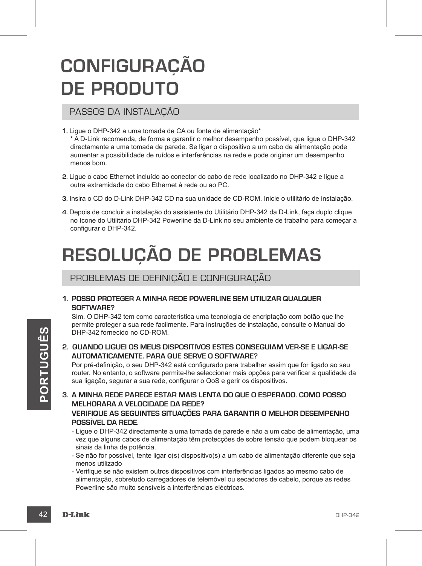## **CONFIGURAÇÃO DE PRODUTO**

#### PASSOS DA INSTALAÇÃO

**1.** Ligue o DHP-342 a uma tomada de CA ou fonte de alimentação\*

\* A D-Link recomenda, de forma a garantir o melhor desempenho possível, que ligue o DHP-342 directamente a uma tomada de parede. Se ligar o dispositivo a um cabo de alimentação pode aumentar a possibilidade de ruídos e interferências na rede e pode originar um desempenho menos bom.

- **2.** Ligue o cabo Ethernet incluído ao conector do cabo de rede localizado no DHP-342 e ligue a outra extremidade do cabo Ethernet à rede ou ao PC.
- **3.** Insira o CD do D-Link DHP-342 CD na sua unidade de CD-ROM. Inicie o utilitário de instalação.
- **4.** Depois de concluir a instalação do assistente do Utilitário DHP-342 da D-Link, faça duplo clique no ícone do Utilitário DHP-342 Powerline da D-Link no seu ambiente de trabalho para começar a configurar o DHP-342.

# **RESOLUÇÃO DE PROBLEMAS**

#### PROBLEMAS DE DEFINIÇÃO E CONFIGURAÇÃO

**1. Posso proteger a minha rede Powerline sem utilizar qualquer software?**

Sim. O DHP-342 tem como característica uma tecnologia de encriptação com botão que lhe permite proteger a sua rede facilmente. Para instruções de instalação, consulte o Manual do DHP-342 fornecido no CD-ROM.

**2. Quando liguei os meus dispositivos estes conseguiam ver-se e ligar-se automaticamente. Para que serve o software?**

Por pré-definição, o seu DHP-342 está configurado para trabalhar assim que for ligado ao seu router. No entanto, o software permite-lhe seleccionar mais opções para verificar a qualidade da sua ligação, segurar a sua rede, configurar o QoS e gerir os dispositivos.

- **2. GUANDO LIGUEI OS MEUS DISPOSITIVOS ESTES CONSEGUIAM VER-SE E LIGAR-SE<br>
AUTOMATICAMENTE. PARA QUE SERVE O SOFTWARE?<br>
Por pré-definição, o seu DHP-342 está configurado para trabalhar assim que for ligado ao seu<br>
router 3. A minha rede parece estar mais lenta do que o esperado. Como posso melhorara a velocidade da rede? Verifique as seguintes situações para garantir o melhor desempenho possível da rede.**
	- Ligue o DHP-342 directamente a uma tomada de parede e não a um cabo de alimentação, uma vez que alguns cabos de alimentação têm protecções de sobre tensão que podem bloquear os sinais da linha de potência.
	- Se não for possível, tente ligar o(s) dispositivo(s) a um cabo de alimentação diferente que seja menos utilizado
	- Verifique se não existem outros dispositivos com interferências ligados ao mesmo cabo de alimentação, sobretudo carregadores de telemóvel ou secadores de cabelo, porque as redes Powerline são muito sensíveis a interferências eléctricas.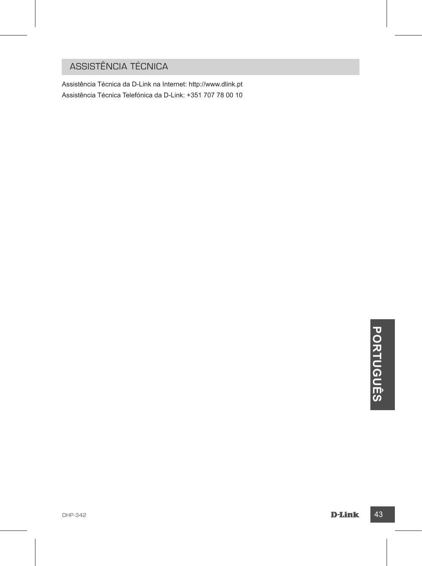### ASSISTÊNCIA TÉCNICA

Assistência Técnica da D-Link na Internet: http://www.dlink.pt Assistência Técnica Telefónica da D-Link: +351 707 78 00 10

# **DHP-342**<br>D-MP-342<br>D-MP-342 **Ê S**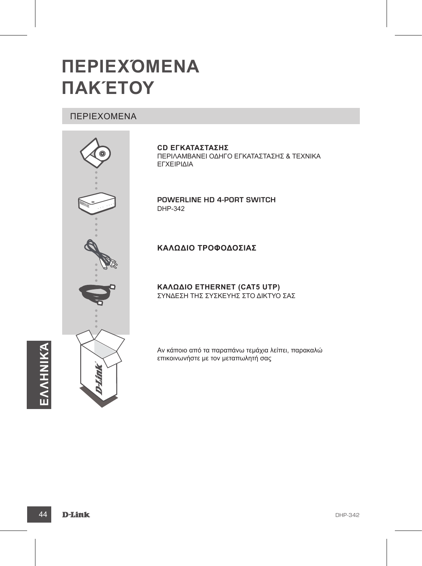### **ΠΕΡΙΕΧΌΜΕΝΑ ΠΑΚΈΤΟΥ**

#### ΠΕΡΙΕΧΟΜΕΝΑ



**CD ΕΓΚΑΤΑΣΤΑΣΗΣ**  ΠΕΡΙΛΑΜΒΑΝΕΙ ΟΔΗΓΟ ΕΓΚΑΤΑΣΤΑΣΗΣ & ΤΕΧΝΙΚΑ ΕΓΧΕΙΡΙΔΙΑ

**Powerline HD 4-Port Switch** DHP-342

#### **ΚΑΛΩΔΙΟ ΤΡΟΦΟΔΟΣΙΑΣ**

**Καλώδιο Ethernet (CAT5 UTP)** ΣΥΝΔΕΣΗ ΤΗΣ ΣΥΣΚΕΥΗΣ ΣΤΟ ΔΙΚΤΥΟ ΣΑΣ

Αν κάποιο από τα παραπάνω τεμάχια λείπει, παρακαλώ επικοινωνήστε με τον μεταπωλητή σας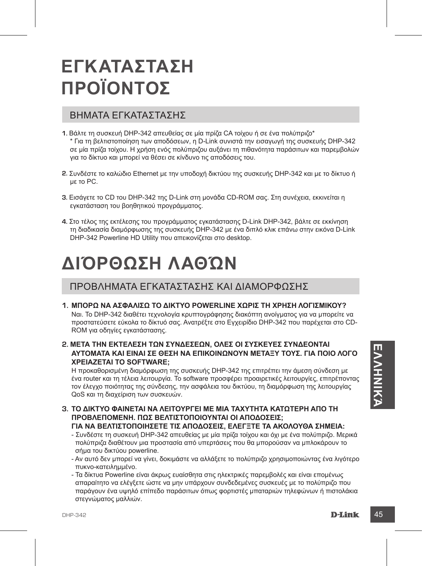### **ΕΓΚΑΤΑΣΤΑΣΗ ΠΡΟΪΟΝΤΟΣ**

#### ΒΗΜΑΤΑ ΕΓΚΑΤΑΣΤΑΣΗΣ

- **1.** Βάλτε τη συσκευή DHP-342 απευθείας σε μία πρίζα CA τοίχου ή σε ένα πολύπριζο\* \* Για τη βελτιστοποίηση των αποδόσεων, η D-Link συνιστά την εισαγωγή της συσκευής DHP-342 σε μία πρίζα τοίχου. Η χρήση ενός πολύπριζου αυξάνει τη πιθανότητα παράσιτων και παρεμβολών για το δίκτυο και μπορεί να θέσει σε κίνδυνο τις αποδόσεις του.
- **2.** Συνδέστε το καλώδιο Ethernet με την υποδοχή δικτύου της συσκευής DHP-342 και με το δίκτυο ή με το PC.
- **3.** Εισάγετε το CD του DHP-342 της D-Link στη μονάδα CD-ROM σας. Στη συνέχεια, εκκινείται η εγκατάσταση του βοηθητικού προγράμματος.
- **4.** Στο τέλος της εκτέλεσης του προγράμματος εγκατάστασης D-Link DHP-342, βάλτε σε εκκίνηση τη διαδικασία διαμόρφωσης της συσκευής DHP-342 με ένα διπλό κλικ επάνω στην εικόνα D-Link DHP-342 Powerline HD Utility που απεικονίζεται στο desktop.

### **ΔΙΌΡΘΩΣΗ ΛΑΘΏΝ**

#### ΠΡΟΒΛΗΜΑΤΑ ΕΓΚΑΤΑΣΤΑΣΗΣ ΚΑΙ ΔΙΑΜΟΡΦΩΣΗΣ

- **1. Μπορώ να ασφαλίσω το δίκτυο Powerline χωρίς τη χρήση λογισμικού?** Ναι. Το DHP-342 διαθέτει τεχνολογία κρυπτογράφησης διακόπτη ανοίγματος για να μπορείτε να προστατεύσετε εύκολα το δίκτυό σας. Ανατρέξτε στο Εγχειρίδιο DHP-342 που παρέχεται στο CD-ROM για οδηγίες εγκατάστασης.
- **2. Μετά την εκτέλεση των συνδέσεων, όλες οι συσκευές συνδέονται αυτόματα και είναι σε θέση να επικοινωνούν μεταξύ τους. Για ποιο λόγο χρειάζεται το software;**

2. **ΙΟΗΡΟ ΤΗΣ ΤΟ ΠΑΤΑΙΣ ΤΟ ΤΗΣ ΤΟ ΤΗΣ ΤΟ ΤΗΣ ΤΟ ΤΙΣ ΤΟ ΤΗΣ ΤΟ ΤΙΣ ΤΟ ΤΙΣ ΤΟ ΤΗΣ ΤΟ ΤΗΣ ΤΟ ΤΗΣ ΤΟ ΤΗΣ ΤΟ ΤΗΣ ΤΟ ΤΗΣ ΤΟ ΤΗΣ ΤΟ ΤΗΣ ΤΟ ΤΗΣ ΤΟ ΤΗΣ ΤΟ ΤΗΣ ΤΟ ΤΗΣ ΤΟ ΤΗΣ ΤΟ ΤΗΣ ΤΟ ΤΗΣ ΤΟ ΤΗΣ ΤΟ ΤΗΣ ΤΟ ΤΗΣ ΤΟ ΤΗΣ ΤΟ ΤΗΣ ΤΟ ΤΗΣ Τ** Η προκαθορισμένη διαμόρφωση της συσκευής DHP-342 της επιτρέπει την άμεση σύνδεση με ένα router και τη τέλεια λειτουργία. Το software προσφέρει προαιρετικές λειτουργίες, επιτρέποντας τον έλεγχο ποιότητας της σύνδεσης, την ασφάλεια του δικτύου, τη διαμόρφωση της λειτουργίας QoS και τη διαχείριση των συσκευών.

- **3. Το δίκτυο φαίνεται να λειτουργεί με μία ταχύτητα κατώτερη από τη προβλεπόμενη. Πώς βελτιστοποιούνται οι αποδόσεις; Για να βελτιστοποιήσετε τις αποδόσεις, ελέγξτε τα ακόλουθα σημεία:**
	- Συνδέστε τη συσκευή DHP-342 απευθείας με μία πρίζα τοίχου και όχι με ένα πολύπριζο. Μερικά πολύπριζα διαθέτουν μια προστασία από υπερτάσεις που θα μπορούσαν να μπλοκάρουν το σήμα του δικτύου powerline.
	- Αν αυτό δεν μπορεί να γίνει, δοκιμάστε να αλλάξετε το πολύπριζο χρησιμοποιώντας ένα λιγότερο πυκνο-κατειλημμένο.
	- Τα δίκτυα Powerline είναι άκρως ευαίσθητα στις ηλεκτρικές παρεμβολές και είναι επομένως απαραίτητο να ελέγξετε ώστε να μην υπάρχουν συνδεδεμένες συσκευές με το πολύπριζο που παράγουν ένα υψηλό επίπεδο παράσιτων όπως φορτιστές μπαταριών τηλεφώνων ή πιστολάκια στεγνώματος μαλλιών.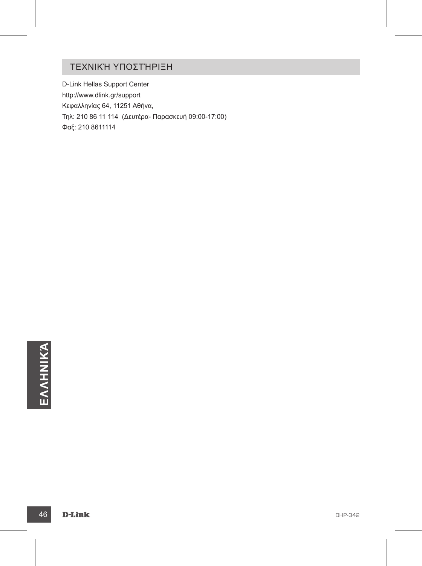### ΤΕΧΝΙΚΉ ΥΠΟΣΤΉΡΙΞΗ

D-Link Hellas Support Center http://www.dlink.gr/support Κεφαλληνίας 64, 11251 Αθήνα, Τηλ: 210 86 11 114 (Δευτέρα- Παρασκευή 09:00-17:00) Φαξ: 210 8611114

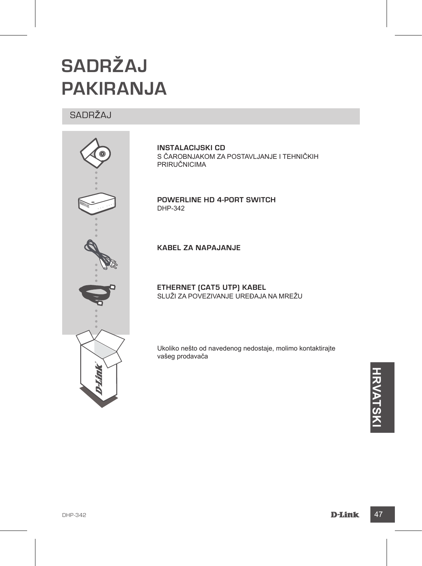# **SADRŽAJ PAKIRANJA**

#### SADRŽAJ



**INSTALACIJSKI CD**  S ČAROBNJAKOM ZA POSTAVLJANJE I TEHNIČKIH PRIRUČNICIMA

**Powerline HD 4-Port Switch** DHP-342

**KABEL ZA NAPAJANJE**

**ETHERNET (CAT5 UTP) KABEL** SLUŽI ZA POVEZIVANJE UREÐAJA NA MREŽU

Ukoliko nešto od navedenog nedostaje, molimo kontaktirajte vašeg prodavača

**HRVATSK**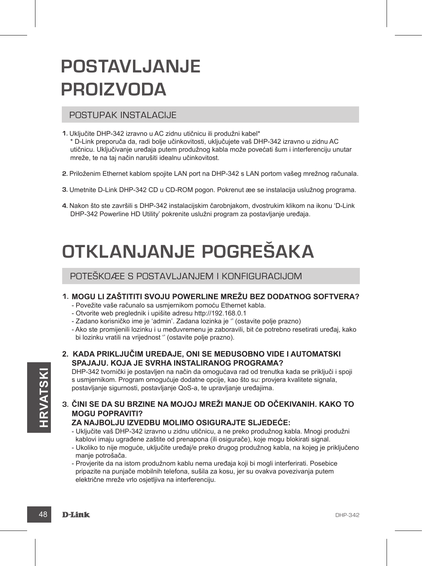### **POSTAVLJANJE PROIZVODA**

#### POSTUPAK INSTALACIJE

- **1.** Uključite DHP-342 izravno u AC zidnu utičnicu ili produžni kabel\* \* D-Link preporuča da, radi bolje učinkovitosti, uključujete vaš DHP-342 izravno u zidnu AC utičnicu. Uključivanje uređaja putem produžnog kabla može povećati šum i interferenciju unutar mreže, te na taj način narušiti idealnu učinkovitost.
- **2.** Priloženim Ethernet kablom spojite LAN port na DHP-342 s LAN portom vašeg mrežnog računala.
- **3.** Umetnite D-Link DHP-342 CD u CD-ROM pogon. Pokrenut æe se instalacija uslužnog programa.
- **4.** Nakon što ste završili s DHP-342 instalacijskim čarobnjakom, dvostrukim klikom na ikonu 'D-Link DHP-342 Powerline HD Utility' pokrenite uslužni program za postavljanje uređaja.

# **OTKLANJANJE POGREŠAKA**

#### POTEŠKOÆE S POSTAVLJANJEM I KONFIGURACIJOM

#### **1. Mogu li zaštititi svoju Powerline mrežu bez dodatnog softvera?**

- Povežite vaše računalo sa usmjernikom pomoću Ethernet kabla.

- Otvorite web preglednik i upišite adresu http://192.168.0.1
- Zadano korisničko ime je 'admin'. Zadana lozinka je '' (ostavite polje prazno)
- Ako ste promijenili lozinku i u međuvremenu je zaboravili, bit će potrebno resetirati uređaj, kako bi lozinku vratili na vrijednost '' (ostavite polje prazno).

**2. Kada priključim uređaje, oni se međusobno vide i automatski spajaju. Koja je svrha instaliranog programa?**

DHP-342 tvornički je postavljen na način da omogućava rad od trenutka kada se priključi i spoji s usmjernikom. Program omogućuje dodatne opcije, kao što su: provjera kvalitete signala, postavljanje sigurnosti, postavljanje QoS-a, te upravljanje uređajima.

**3. Čini se da su brzine na mojoj mreži manje od očekivanih. Kako to mogu popraviti?**

#### **Za najbolju izvedbu molimo osigurajte sljedeće:**

- Uključite vaš DHP-342 izravno u zidnu utičnicu, a ne preko produžnog kabla. Mnogi produžni kablovi imaju ugrađene zaštite od prenapona (ili osigurače), koje mogu blokirati signal.
- Ukoliko to nije moguće, uključite uređaj/e preko drugog produžnog kabla, na kojeg je priključeno manje potrošača.
- MOGU POPRAVITI?<br> **ZA NAJBOLJU IZVEDBU MOLIMO OSIGURAJTE SLJEDEĆE:**<br>
 Uključite vaš DHP-342 izravno u zidnu utičnicu, a ne preko produžnog kabla. Mnogi produžni<br>
kablovi imaju ugrađene zaštite od prenapona (ili osigurače), - Provjerite da na istom produžnom kablu nema uređaja koji bi mogli interferirati. Posebice pripazite na punjače mobilnih telefona, sušila za kosu, jer su ovakva povezivanja putem električne mreže vrlo osjetljiva na interferenciju.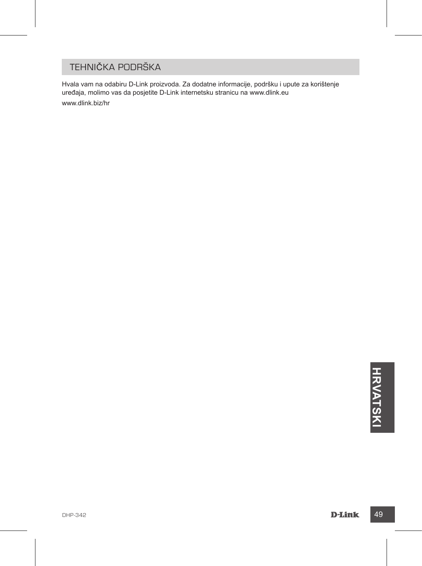### TEHNIČKA PODRŠKA

Hvala vam na odabiru D-Link proizvoda. Za dodatne informacije, podršku i upute za korištenje uređaja, molimo vas da posjetite D-Link internetsku stranicu na www.dlink.eu www.dlink.biz/hr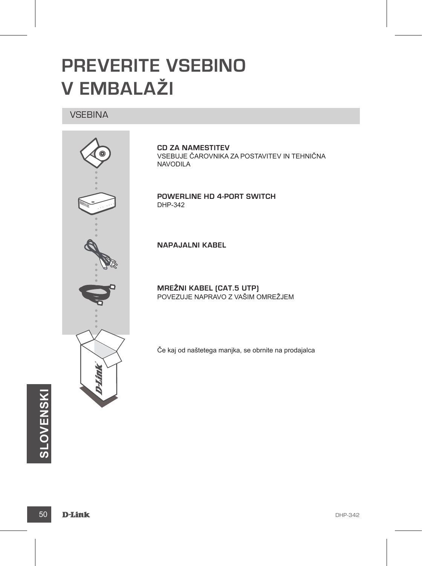### **PREVERITE VSEBINO V EMBALAŽI**

#### **VSEBINA**



**CD ZA NAMESTITEV** VSEBUJE ČAROVNIKA ZA POSTAVITEV IN TEHNIČNA NAVODILA

**Powerline HD 4-Port Switch** DHP-342

**NAPAJALNI KABEL**

**MREŽNI KABEL (CAT.5 UTP)** POVEZUJE NAPRAVO Z VAŠIM OMREŽJEM

Če kaj od naštetega manjka, se obrnite na prodajalca

**50 D-Link BHP-342 SLOVENSKI**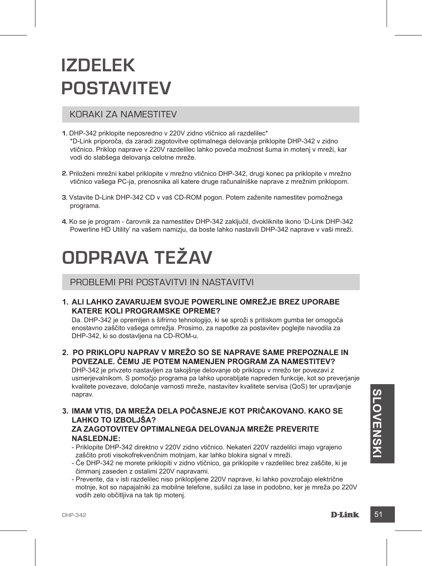### **IZDELEK POSTAVITEV**

#### KORAKI ZA NAMESTITEV

- **1.** DHP-342 priklopite neposredno v 220V zidno vtičnico ali razdelilec\* \*D-Link priporoča, da zaradi zagotovitve optimalnega delovanja priklopite DHP-342 v zidno vtičnico. Priklop naprave v 220V razdelilec lahko poveča možnost šuma in motenj v mreži, kar vodi do slabšega delovanja celotne mreže.
- **2.** Priloženi mrežni kabel priklopite v mrežno vtičnico DHP-342, drugi konec pa priklopite v mrežno vtičnico vašega PC-ja, prenosnika ali katere druge računalniške naprave z mrežnim priklopom.
- **3.** Vstavite D-Link DHP-342 CD v vaš CD-ROM pogon. Potem zaženite namestitev pomožnega programa.
- **4.** Ko se je program čarovnik za namestitev DHP-342 zaključil, dvokliknite ikono 'D-Link DHP-342 Powerline HD Utility' na vašem namizju, da boste lahko nastavili DHP-342 naprave v vaši mreži.

### **ODPRAVA TEŽAV**

#### PROBLEMI PRI POSTAVITVI IN NASTAVITVI

**1. Ali lahko zavarujem svoje Powerline omrežje brez uporabe katere koli programske opreme?**

Da. DHP-342 je opremljen s šifrirno tehnologijo, ki se sproži s pritiskom gumba ter omogoča enostavno zaščito vašega omrežja. Prosimo, za napotke za postavitev poglejte navodila za DHP-342, ki so dostavljena na CD-ROM-u.

**2. Po priklopu naprav v mrežo so se naprave same prepoznale in povezale. Čemu je potem namenjen program za namestitev?**

DHP-342 je privzeto nastavljen za takojšnje delovanje ob priklopu v mrežo ter povezavi z usmerjevalnikom. S pomočjo programa pa lahko uporabljate napreden funkcije, kot so preverjanje kvalitete povezave, določanje varnosti mreže, nastavitev kvalitete servisa (QoS) ter upravljanje naprav.

- naprav.<br> **S. IMAM VTIS, DA MREŽA DELA POČASNEJE KOT PRIČAKOVANO. KAKO SE<br>
LAHKO TO IZBOLJŠA?<br>
ZA ZAGOTOVITEV OPTIMALNEGA DELOVANJA MREŽE PREVERITE<br>
NASLEDNJE:<br>
 Priklopite DHP-342 direktno v 220V zidno vtičnico. Nekateri 3. Imam vtis, da mreža dela počasneje kot pričakovano. Kako se lahko to izboljša? Za zagotovitev optimalnega delovanja mreže preverite naslednje:**
- Priklopite DHP-342 direktno v 220V zidno vtičnico. Nekateri 220V razdelilci imajo vgrajeno zaščito proti visokofrekvenčnim motnjam, kar lahko blokira signal v mreži.
	- Če DHP-342 ne morete priklopiti v zidno vtičnico, ga priklopite v razdelilec brez zaščite, ki je čimmanj zaseden z ostalimi 220V napravami.
	- Preverite, da v isti razdelilec niso priklopljene 220V naprave, ki lahko povzročajo električne motnje, kot so napajalniki za mobilne telefone, sušilci za lase in podobno, ker je mreža po 220V vodih zelo občitljiva na tak tip motenj.

**VENSKI**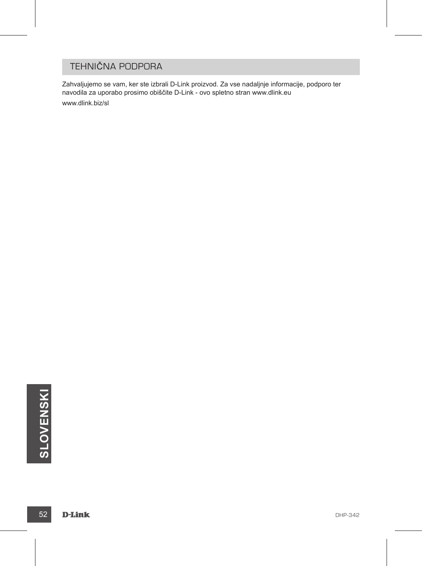### TEHNIČNA PODPORA

Zahvaljujemo se vam, ker ste izbrali D-Link proizvod. Za vse nadaljnje informacije, podporo ter navodila za uporabo prosimo obiščite D-Link - ovo spletno stran www.dlink.eu www.dlink.biz/sl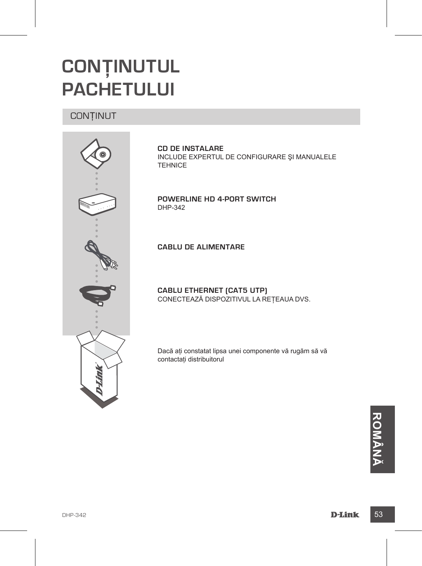### **CONŢINUTUL PACHETULUI**

#### **CONȚINUT**



**CD DE INSTALARE**  INCLUDE EXPERTUL DE CONFIGURARE ŞI MANUALELE TEHNICE

**Powerline HD 4-Port Switch** DHP-342

**CABLU DE ALIMENTARE**

**CABLU ETHERNET (CAT5 UTP)** CONECTEAZĂ DISPOZITIVUL LA REŢEAUA DVS.

Dacă aţi constatat lipsa unei componente vă rugăm să vă contactaţi distribuitorul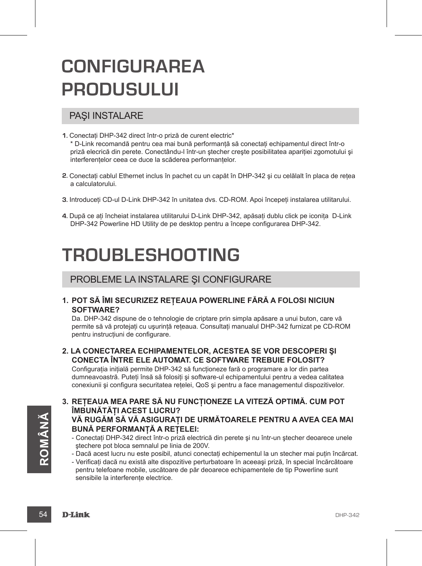### **CONFIGURAREA PRODUSULUI**

#### PAŞI INSTALARE

- **1.** Conectaţi DHP-342 direct într-o priză de curent electric\* \* D-Link recomandă pentru cea mai bună performanţă să conectaţi echipamentul direct într-o priză elecrică din perete. Conectându-l într-un stecher crește posibilitatea apariției zgomotului și interferentelor ceea ce duce la scăderea performantelor.
- **2.** Conectaţi cablul Ethernet inclus în pachet cu un capăt în DHP-342 şi cu celălalt în placa de reţea a calculatorului.
- 3. Introduceti CD-ul D-Link DHP-342 în unitatea dvs. CD-ROM. Apoi începeti instalarea utilitarului.
- **4.** După ce aţi încheiat instalarea utilitarului D-Link DHP-342, apăsaţi dublu click pe iconiţa D-Link DHP-342 Powerline HD Utility de pe desktop pentru a începe configurarea DHP-342.

### **TROUBLESHOOTING**

#### PROBLEME LA INSTALARE ŞI CONFIGURARE

**1. Pot să îmi securizez reţeaua Powerline fără a folosi niciun software?**

Da. DHP-342 dispune de o tehnologie de criptare prin simpla apăsare a unui buton, care vă permite să vă protejati cu ușurință rețeaua. Consultați manualul DHP-342 furnizat pe CD-ROM pentru instructiuni de configurare.

**2. La conectarea echipamentelor, acestea se vor descoperi şi conecta între ele automat. Ce software trebuie folosit?**

Configuratia initială permite DHP-342 să functioneze fară o programare a lor din partea dumneavoastră. Puteti însă să folositi și software-ul echipamentului pentru a vedea calitatea conexiunii și configura securitatea retelei, QoS și pentru a face managementul dispozitivelor.

**Â NĂ**

- **3. Reţeaua mea pare să nu funcţioneze la viteză optimă. Cum pot îmbunătăţi acest lucru? Vă rugăm să vă asiguraţi de următoarele pentru a avea cea mai BUNĂ PERFORMANTĂ A RETELEI:** 
	- Conectaţi DHP-342 direct într-o priză electrică din perete şi nu într-un ştecher deoarece unele ştechere pot bloca semnalul pe linia de 200V.
	- Dacă acest lucru nu este posibil, atunci conectaţi echipementul la un stecher mai puţin încărcat.
- Stechere pot bloca semnalul pe linia de 200V.<br>
 Dacă acest lucru nu este posibil, atunci conectați echipementul la un stecher mai puțin încărcat.<br>
 Verificați dacă nu există alte dispozitive perturbatoare în aceeași priz - Verificaţi dacă nu există alte dispozitive perturbatoare în aceeaşi priză, în special încărcătoare pentru telefoane mobile, uscătoare de păr deoarece echipamentele de tip Powerline sunt sensibile la interferente electrice.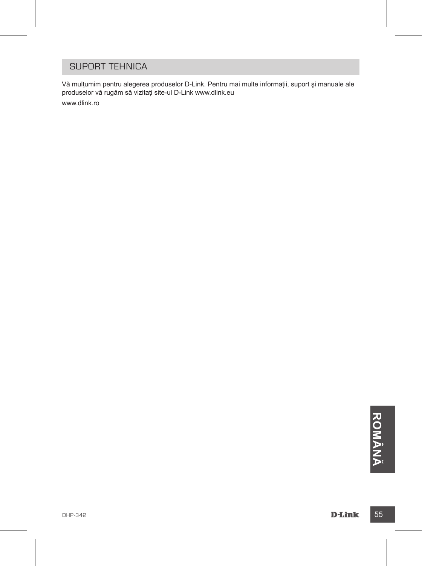#### SUPORT TEHNICA

Vă mulţumim pentru alegerea produselor D-Link. Pentru mai multe informaţii, suport şi manuale ale produselor vă rugăm să vizitaţi site-ul D-Link www.dlink.eu www.dlink.ro

**DHP-342**<br> **DHM**<br> **DHM**<br> **DHM**<br> **DHM**<br> **DHM Â N Ă**